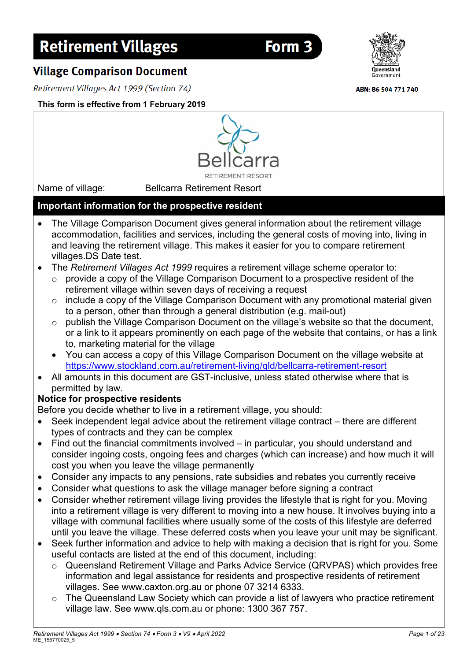# **Retirement Villages**

**Village Comparison Document** 

Retirement Villages Act 1999 (Section 74)

# **This form is effective from 1 February 2019**

Name of village: Bellcarra Retirement Resort

## **Important information for the prospective resident** • The Village Comparison Document gives general information about the retirement village accommodation, facilities and services, including the general costs of moving into, living in and leaving the retirement village. This makes it easier for you to compare retirement villages.DS Date test.

**DETIDEMENT DESORT** 

- The *Retirement Villages Act 1999* requires a retirement village scheme operator to:
	- $\circ$  provide a copy of the Village Comparison Document to a prospective resident of the retirement village within seven days of receiving a request
	- o include a copy of the Village Comparison Document with any promotional material given to a person, other than through a general distribution (e.g. mail-out)
	- o publish the Village Comparison Document on the village's website so that the document, or a link to it appears prominently on each page of the website that contains, or has a link to, marketing material for the village
	- You can access a copy of this Village Comparison Document on the village website at <https://www.stockland.com.au/retirement-living/qld/bellcarra-retirement-resort>
- All amounts in this document are GST-inclusive, unless stated otherwise where that is permitted by law.

# **Notice for prospective residents**

Before you decide whether to live in a retirement village, you should:

- Seek independent legal advice about the retirement village contract there are different types of contracts and they can be complex
- Find out the financial commitments involved in particular, you should understand and consider ingoing costs, ongoing fees and charges (which can increase) and how much it will cost you when you leave the village permanently
- Consider any impacts to any pensions, rate subsidies and rebates you currently receive
- Consider what questions to ask the village manager before signing a contract
- Consider whether retirement village living provides the lifestyle that is right for you. Moving into a retirement village is very different to moving into a new house. It involves buying into a village with communal facilities where usually some of the costs of this lifestyle are deferred until you leave the village. These deferred costs when you leave your unit may be significant.
- Seek further information and advice to help with making a decision that is right for you. Some useful contacts are listed at the end of this document, including:
	- o Queensland Retirement Village and Parks Advice Service (QRVPAS) which provides free information and legal assistance for residents and prospective residents of retirement villages. See www.caxton.org.au or phone 07 3214 6333.
	- o The Queensland Law Society which can provide a list of lawyers who practice retirement village law. See www.qls.com.au or phone: 1300 367 757.



Form<sub>3</sub>



ABN: 86 504 771 740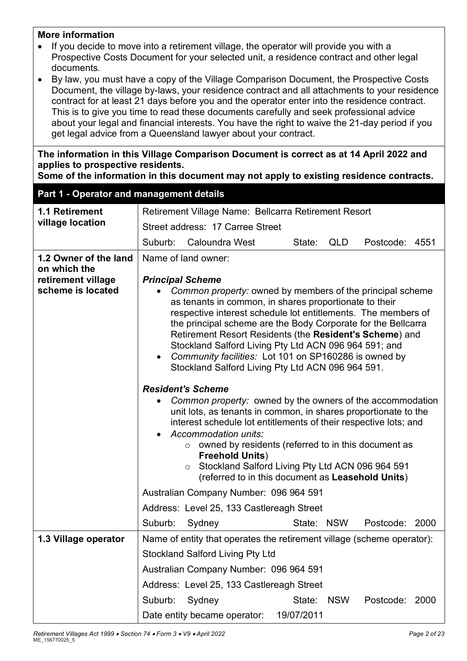#### **More information**

- If you decide to move into a retirement village, the operator will provide you with a Prospective Costs Document for your selected unit, a residence contract and other legal documents.
- By law, you must have a copy of the Village Comparison Document, the Prospective Costs Document, the village by-laws, your residence contract and all attachments to your residence contract for at least 21 days before you and the operator enter into the residence contract. This is to give you time to read these documents carefully and seek professional advice about your legal and financial interests. You have the right to waive the 21-day period if you get legal advice from a Queensland lawyer about your contract.

**The information in this Village Comparison Document is correct as at 14 April 2022 and applies to prospective residents.**

**Some of the information in this document may not apply to existing residence contracts.**

| Part 1 - Operator and management details |                                                                                                                                                                                                                                                                                                                                                                                                                                                                                                                                                                                                                                                                                                                                                                                                                                                          |            |            |                |      |
|------------------------------------------|----------------------------------------------------------------------------------------------------------------------------------------------------------------------------------------------------------------------------------------------------------------------------------------------------------------------------------------------------------------------------------------------------------------------------------------------------------------------------------------------------------------------------------------------------------------------------------------------------------------------------------------------------------------------------------------------------------------------------------------------------------------------------------------------------------------------------------------------------------|------------|------------|----------------|------|
| 1.1 Retirement                           | Retirement Village Name: Bellcarra Retirement Resort                                                                                                                                                                                                                                                                                                                                                                                                                                                                                                                                                                                                                                                                                                                                                                                                     |            |            |                |      |
| village location                         | Street address: 17 Carree Street                                                                                                                                                                                                                                                                                                                                                                                                                                                                                                                                                                                                                                                                                                                                                                                                                         |            |            |                |      |
|                                          | Suburb:<br><b>Caloundra West</b>                                                                                                                                                                                                                                                                                                                                                                                                                                                                                                                                                                                                                                                                                                                                                                                                                         | State:     | QLD        | Postcode:      | 4551 |
| 1.2 Owner of the land<br>on which the    | Name of land owner:                                                                                                                                                                                                                                                                                                                                                                                                                                                                                                                                                                                                                                                                                                                                                                                                                                      |            |            |                |      |
| retirement village                       | <b>Principal Scheme</b>                                                                                                                                                                                                                                                                                                                                                                                                                                                                                                                                                                                                                                                                                                                                                                                                                                  |            |            |                |      |
| scheme is located                        | Common property: owned by members of the principal scheme<br>as tenants in common, in shares proportionate to their<br>respective interest schedule lot entitlements. The members of<br>the principal scheme are the Body Corporate for the Bellcarra<br>Retirement Resort Residents (the Resident's Scheme) and<br>Stockland Salford Living Pty Ltd ACN 096 964 591; and<br>Community facilities: Lot 101 on SP160286 is owned by<br>$\bullet$<br>Stockland Salford Living Pty Ltd ACN 096 964 591.<br><b>Resident's Scheme</b><br>Common property: owned by the owners of the accommodation<br>unit lots, as tenants in common, in shares proportionate to the<br>interest schedule lot entitlements of their respective lots; and<br>Accommodation units:<br>owned by residents (referred to in this document as<br>$\circ$<br><b>Freehold Units)</b> |            |            |                |      |
|                                          | Stockland Salford Living Pty Ltd ACN 096 964 591<br>$\circ$<br>(referred to in this document as Leasehold Units)                                                                                                                                                                                                                                                                                                                                                                                                                                                                                                                                                                                                                                                                                                                                         |            |            |                |      |
|                                          | Australian Company Number: 096 964 591                                                                                                                                                                                                                                                                                                                                                                                                                                                                                                                                                                                                                                                                                                                                                                                                                   |            |            |                |      |
|                                          | Address: Level 25, 133 Castlereagh Street                                                                                                                                                                                                                                                                                                                                                                                                                                                                                                                                                                                                                                                                                                                                                                                                                |            |            |                |      |
|                                          | Suburb:<br>Sydney                                                                                                                                                                                                                                                                                                                                                                                                                                                                                                                                                                                                                                                                                                                                                                                                                                        | State: NSW |            | Postcode: 2000 |      |
| 1.3 Village operator                     | Name of entity that operates the retirement village (scheme operator):                                                                                                                                                                                                                                                                                                                                                                                                                                                                                                                                                                                                                                                                                                                                                                                   |            |            |                |      |
|                                          | <b>Stockland Salford Living Pty Ltd</b><br>Australian Company Number: 096 964 591                                                                                                                                                                                                                                                                                                                                                                                                                                                                                                                                                                                                                                                                                                                                                                        |            |            |                |      |
|                                          |                                                                                                                                                                                                                                                                                                                                                                                                                                                                                                                                                                                                                                                                                                                                                                                                                                                          |            |            |                |      |
|                                          | Address: Level 25, 133 Castlereagh Street                                                                                                                                                                                                                                                                                                                                                                                                                                                                                                                                                                                                                                                                                                                                                                                                                |            |            |                |      |
|                                          | Suburb:<br>Sydney                                                                                                                                                                                                                                                                                                                                                                                                                                                                                                                                                                                                                                                                                                                                                                                                                                        | State:     | <b>NSW</b> | Postcode: 2000 |      |
|                                          | Date entity became operator:                                                                                                                                                                                                                                                                                                                                                                                                                                                                                                                                                                                                                                                                                                                                                                                                                             | 19/07/2011 |            |                |      |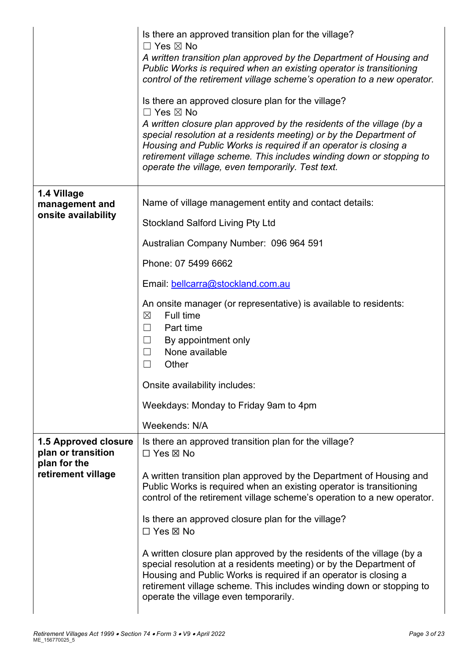|                                                                   | Is there an approved transition plan for the village?<br>$\Box$ Yes $\boxtimes$ No                                                                                                                                                                                                                                                           |
|-------------------------------------------------------------------|----------------------------------------------------------------------------------------------------------------------------------------------------------------------------------------------------------------------------------------------------------------------------------------------------------------------------------------------|
|                                                                   | A written transition plan approved by the Department of Housing and<br>Public Works is required when an existing operator is transitioning<br>control of the retirement village scheme's operation to a new operator.                                                                                                                        |
|                                                                   | Is there an approved closure plan for the village?<br>$\Box$ Yes $\boxtimes$ No                                                                                                                                                                                                                                                              |
|                                                                   | A written closure plan approved by the residents of the village (by a<br>special resolution at a residents meeting) or by the Department of<br>Housing and Public Works is required if an operator is closing a<br>retirement village scheme. This includes winding down or stopping to<br>operate the village, even temporarily. Test text. |
| 1.4 Village<br>management and                                     | Name of village management entity and contact details:                                                                                                                                                                                                                                                                                       |
| onsite availability                                               | <b>Stockland Salford Living Pty Ltd</b>                                                                                                                                                                                                                                                                                                      |
|                                                                   | Australian Company Number: 096 964 591                                                                                                                                                                                                                                                                                                       |
|                                                                   | Phone: 07 5499 6662                                                                                                                                                                                                                                                                                                                          |
|                                                                   | Email: bellcarra@stockland.com.au                                                                                                                                                                                                                                                                                                            |
|                                                                   | An onsite manager (or representative) is available to residents:<br>Full time<br>$\boxtimes$<br>Part time<br>$\Box$<br>By appointment only<br>$\Box$<br>None available<br>$\Box$<br>Other<br>$\Box$                                                                                                                                          |
|                                                                   | Onsite availability includes:                                                                                                                                                                                                                                                                                                                |
|                                                                   | Weekdays: Monday to Friday 9am to 4pm                                                                                                                                                                                                                                                                                                        |
|                                                                   | Weekends: N/A                                                                                                                                                                                                                                                                                                                                |
| <b>1.5 Approved closure</b><br>plan or transition<br>plan for the | Is there an approved transition plan for the village?<br>$\Box$ Yes $\boxtimes$ No                                                                                                                                                                                                                                                           |
| retirement village                                                | A written transition plan approved by the Department of Housing and<br>Public Works is required when an existing operator is transitioning<br>control of the retirement village scheme's operation to a new operator.                                                                                                                        |
|                                                                   | Is there an approved closure plan for the village?<br>□ Yes ⊠ No                                                                                                                                                                                                                                                                             |
|                                                                   | A written closure plan approved by the residents of the village (by a<br>special resolution at a residents meeting) or by the Department of<br>Housing and Public Works is required if an operator is closing a<br>retirement village scheme. This includes winding down or stopping to<br>operate the village even temporarily.             |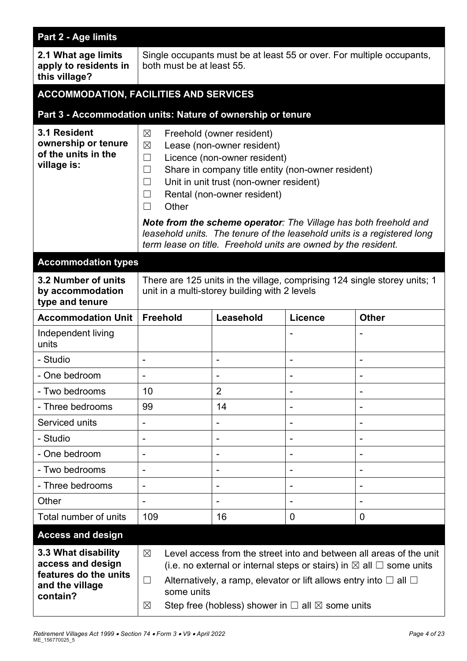| Part 2 - Age limits                                                                              |                                                                                                                                                                                                                                                                                                                                                                                                                                                                   |                                                                |         |              |
|--------------------------------------------------------------------------------------------------|-------------------------------------------------------------------------------------------------------------------------------------------------------------------------------------------------------------------------------------------------------------------------------------------------------------------------------------------------------------------------------------------------------------------------------------------------------------------|----------------------------------------------------------------|---------|--------------|
| 2.1 What age limits<br>apply to residents in<br>this village?                                    | Single occupants must be at least 55 or over. For multiple occupants,<br>both must be at least 55.                                                                                                                                                                                                                                                                                                                                                                |                                                                |         |              |
| <b>ACCOMMODATION, FACILITIES AND SERVICES</b>                                                    |                                                                                                                                                                                                                                                                                                                                                                                                                                                                   |                                                                |         |              |
| Part 3 - Accommodation units: Nature of ownership or tenure                                      |                                                                                                                                                                                                                                                                                                                                                                                                                                                                   |                                                                |         |              |
| 3.1 Resident<br>ownership or tenure<br>of the units in the<br>village is:                        | $\boxtimes$<br>Freehold (owner resident)<br>Lease (non-owner resident)<br>$\boxtimes$<br>Licence (non-owner resident)<br>$\Box$<br>Share in company title entity (non-owner resident)<br>$\Box$<br>Unit in unit trust (non-owner resident)<br>$\Box$<br>Rental (non-owner resident)<br>$\Box$<br>Other<br>П<br><b>Note from the scheme operator:</b> The Village has both freehold and<br>leasehold units. The tenure of the leasehold units is a registered long |                                                                |         |              |
|                                                                                                  |                                                                                                                                                                                                                                                                                                                                                                                                                                                                   | term lease on title. Freehold units are owned by the resident. |         |              |
| <b>Accommodation types</b><br>3.2 Number of units<br>by accommodation<br>type and tenure         | There are 125 units in the village, comprising 124 single storey units; 1<br>unit in a multi-storey building with 2 levels                                                                                                                                                                                                                                                                                                                                        |                                                                |         |              |
| <b>Accommodation Unit</b>                                                                        | <b>Freehold</b>                                                                                                                                                                                                                                                                                                                                                                                                                                                   | Leasehold                                                      | Licence | <b>Other</b> |
| Independent living<br>units                                                                      |                                                                                                                                                                                                                                                                                                                                                                                                                                                                   |                                                                |         |              |
| - Studio                                                                                         |                                                                                                                                                                                                                                                                                                                                                                                                                                                                   | $\overline{\phantom{a}}$                                       |         | -            |
| One bedroom                                                                                      |                                                                                                                                                                                                                                                                                                                                                                                                                                                                   |                                                                |         |              |
| - Two bedrooms                                                                                   | 10                                                                                                                                                                                                                                                                                                                                                                                                                                                                | $\overline{2}$                                                 |         |              |
| - Three bedrooms                                                                                 | 99                                                                                                                                                                                                                                                                                                                                                                                                                                                                | 14                                                             |         |              |
| Serviced units                                                                                   |                                                                                                                                                                                                                                                                                                                                                                                                                                                                   |                                                                |         |              |
| - Studio                                                                                         |                                                                                                                                                                                                                                                                                                                                                                                                                                                                   |                                                                |         |              |
| - One bedroom                                                                                    | -                                                                                                                                                                                                                                                                                                                                                                                                                                                                 | $\overline{\phantom{a}}$                                       |         |              |
| - Two bedrooms                                                                                   |                                                                                                                                                                                                                                                                                                                                                                                                                                                                   |                                                                |         |              |
| - Three bedrooms                                                                                 |                                                                                                                                                                                                                                                                                                                                                                                                                                                                   |                                                                |         |              |
| Other                                                                                            | -                                                                                                                                                                                                                                                                                                                                                                                                                                                                 | $\overline{\phantom{a}}$                                       |         |              |
| Total number of units                                                                            | 109                                                                                                                                                                                                                                                                                                                                                                                                                                                               | 16                                                             | 0       | 0            |
| <b>Access and design</b>                                                                         |                                                                                                                                                                                                                                                                                                                                                                                                                                                                   |                                                                |         |              |
| 3.3 What disability<br>access and design<br>features do the units<br>and the village<br>contain? | Level access from the street into and between all areas of the unit<br>$\boxtimes$<br>(i.e. no external or internal steps or stairs) in $\boxtimes$ all $\Box$ some units<br>Alternatively, a ramp, elevator or lift allows entry into $\square$ all $\square$<br>$\Box$<br>some units<br>Step free (hobless) shower in $\Box$ all $\boxtimes$ some units<br>$\boxtimes$                                                                                          |                                                                |         |              |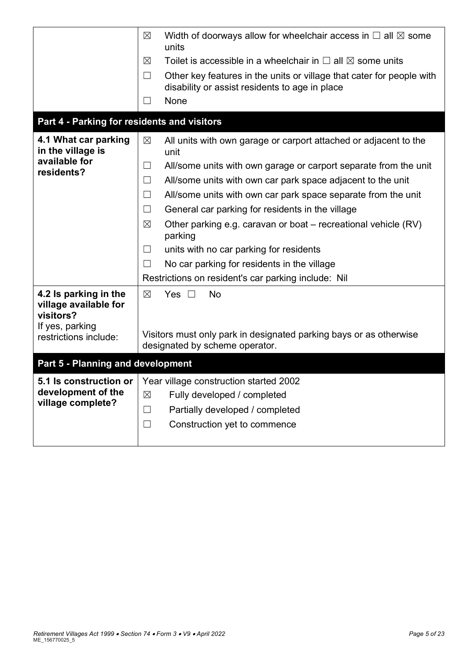|                                                             | Width of doorways allow for wheelchair access in $\Box$ all $\boxtimes$ some<br>$\boxtimes$<br>units                              |  |  |
|-------------------------------------------------------------|-----------------------------------------------------------------------------------------------------------------------------------|--|--|
|                                                             | Toilet is accessible in a wheelchair in $\Box$ all $\boxtimes$ some units<br>⊠                                                    |  |  |
|                                                             | Other key features in the units or village that cater for people with<br>$\Box$<br>disability or assist residents to age in place |  |  |
|                                                             | None<br>$\vert \ \ \vert$                                                                                                         |  |  |
| Part 4 - Parking for residents and visitors                 |                                                                                                                                   |  |  |
| 4.1 What car parking<br>in the village is                   | $\boxtimes$<br>All units with own garage or carport attached or adjacent to the<br>unit                                           |  |  |
| available for<br>residents?                                 | All/some units with own garage or carport separate from the unit<br>$\Box$                                                        |  |  |
|                                                             | $\Box$<br>All/some units with own car park space adjacent to the unit                                                             |  |  |
|                                                             | All/some units with own car park space separate from the unit<br>$\Box$                                                           |  |  |
|                                                             | $\Box$<br>General car parking for residents in the village                                                                        |  |  |
|                                                             | $\boxtimes$<br>Other parking e.g. caravan or boat – recreational vehicle (RV)<br>parking                                          |  |  |
|                                                             | units with no car parking for residents<br>⊔                                                                                      |  |  |
|                                                             | No car parking for residents in the village<br>$\perp$                                                                            |  |  |
|                                                             | Restrictions on resident's car parking include: Nil                                                                               |  |  |
| 4.2 Is parking in the<br>village available for<br>visitors? | $\boxtimes$<br>Yes $\square$<br><b>No</b>                                                                                         |  |  |
| If yes, parking<br>restrictions include:                    | Visitors must only park in designated parking bays or as otherwise<br>designated by scheme operator.                              |  |  |
| Part 5 - Planning and development                           |                                                                                                                                   |  |  |
| 5.1 Is construction or                                      | Year village construction started 2002                                                                                            |  |  |
| development of the                                          | Fully developed / completed<br>$\boxtimes$                                                                                        |  |  |
| village complete?                                           | Partially developed / completed<br>$\Box$                                                                                         |  |  |
|                                                             | Construction yet to commence<br>$\Box$                                                                                            |  |  |
|                                                             |                                                                                                                                   |  |  |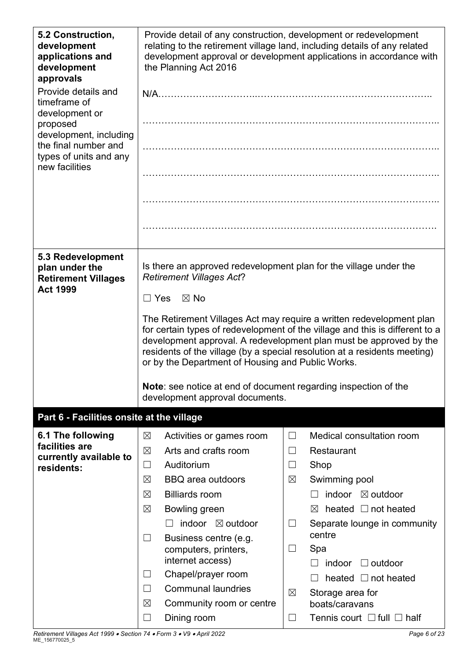| 5.2 Construction,<br>development<br>applications and<br>development<br>approvals | Provide detail of any construction, development or redevelopment<br>relating to the retirement village land, including details of any related<br>development approval or development applications in accordance with<br>the Planning Act 2016                                                                                                                |                                                   |  |  |  |
|----------------------------------------------------------------------------------|--------------------------------------------------------------------------------------------------------------------------------------------------------------------------------------------------------------------------------------------------------------------------------------------------------------------------------------------------------------|---------------------------------------------------|--|--|--|
| Provide details and<br>timeframe of                                              |                                                                                                                                                                                                                                                                                                                                                              |                                                   |  |  |  |
| development or<br>proposed<br>development, including                             |                                                                                                                                                                                                                                                                                                                                                              | .                                                 |  |  |  |
| the final number and<br>types of units and any                                   |                                                                                                                                                                                                                                                                                                                                                              |                                                   |  |  |  |
| new facilities                                                                   |                                                                                                                                                                                                                                                                                                                                                              |                                                   |  |  |  |
|                                                                                  |                                                                                                                                                                                                                                                                                                                                                              |                                                   |  |  |  |
|                                                                                  |                                                                                                                                                                                                                                                                                                                                                              |                                                   |  |  |  |
| 5.3 Redevelopment<br>plan under the<br><b>Retirement Villages</b>                | Is there an approved redevelopment plan for the village under the<br><b>Retirement Villages Act?</b>                                                                                                                                                                                                                                                         |                                                   |  |  |  |
| <b>Act 1999</b>                                                                  | $\boxtimes$ No<br>$\Box$ Yes                                                                                                                                                                                                                                                                                                                                 |                                                   |  |  |  |
|                                                                                  | The Retirement Villages Act may require a written redevelopment plan<br>for certain types of redevelopment of the village and this is different to a<br>development approval. A redevelopment plan must be approved by the<br>residents of the village (by a special resolution at a residents meeting)<br>or by the Department of Housing and Public Works. |                                                   |  |  |  |
|                                                                                  | Note: see notice at end of document regarding inspection of the<br>development approval documents.                                                                                                                                                                                                                                                           |                                                   |  |  |  |
| Part 6 - Facilities onsite at the village                                        |                                                                                                                                                                                                                                                                                                                                                              |                                                   |  |  |  |
| 6.1 The following                                                                | $\boxtimes$<br>Activities or games room                                                                                                                                                                                                                                                                                                                      | Medical consultation room<br>$\Box$               |  |  |  |
| facilities are<br>currently available to                                         | Arts and crafts room<br>⊠                                                                                                                                                                                                                                                                                                                                    | Restaurant<br>$\Box$                              |  |  |  |
| residents:                                                                       | Auditorium<br>$\Box$                                                                                                                                                                                                                                                                                                                                         | Shop<br>$\Box$                                    |  |  |  |
|                                                                                  | $\boxtimes$<br><b>BBQ</b> area outdoors                                                                                                                                                                                                                                                                                                                      | $\boxtimes$<br>Swimming pool                      |  |  |  |
|                                                                                  | <b>Billiards room</b><br>$\boxtimes$                                                                                                                                                                                                                                                                                                                         | <i>indoor</i><br>$\boxtimes$ outdoor              |  |  |  |
|                                                                                  | Bowling green<br>$\boxtimes$                                                                                                                                                                                                                                                                                                                                 | heated $\Box$ not heated<br>$\bowtie$             |  |  |  |
|                                                                                  | indoor ⊠ outdoor                                                                                                                                                                                                                                                                                                                                             | Separate lounge in community<br>$\Box$            |  |  |  |
|                                                                                  | Business centre (e.g.<br>$\Box$<br>computers, printers,<br>internet access)                                                                                                                                                                                                                                                                                  | centre<br>Spa<br>ப                                |  |  |  |
|                                                                                  | Chapel/prayer room<br>$\Box$                                                                                                                                                                                                                                                                                                                                 | indoor<br>$\Box$ outdoor                          |  |  |  |
|                                                                                  | <b>Communal laundries</b><br>$\Box$                                                                                                                                                                                                                                                                                                                          | heated $\Box$ not heated                          |  |  |  |
|                                                                                  | $\boxtimes$<br>Community room or centre                                                                                                                                                                                                                                                                                                                      | $\boxtimes$<br>Storage area for<br>boats/caravans |  |  |  |
|                                                                                  | Dining room<br>⊔                                                                                                                                                                                                                                                                                                                                             | Tennis court $\Box$ full $\Box$ half              |  |  |  |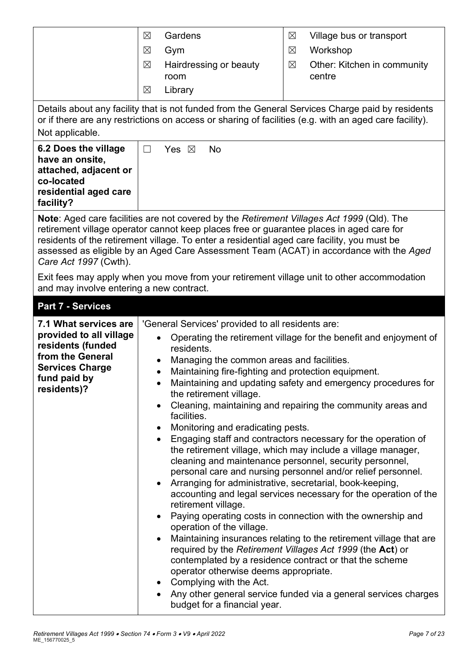| Not applicable.                                                                                                                                    | Gardens<br>$\boxtimes$<br>Village bus or transport<br>⊠<br>Workshop<br>$\boxtimes$<br>Gym<br>$\boxtimes$<br>$\boxtimes$<br>Other: Kitchen in community<br>$\boxtimes$<br>Hairdressing or beauty<br>centre<br>room<br>Library<br>$\boxtimes$<br>Details about any facility that is not funded from the General Services Charge paid by residents<br>or if there are any restrictions on access or sharing of facilities (e.g. with an aged care facility).                                                                                                                                                                                                                                                                                                                                                                                                                                                                                                                                                                                                                                                                                                                                                                                                                                                                                               |
|----------------------------------------------------------------------------------------------------------------------------------------------------|---------------------------------------------------------------------------------------------------------------------------------------------------------------------------------------------------------------------------------------------------------------------------------------------------------------------------------------------------------------------------------------------------------------------------------------------------------------------------------------------------------------------------------------------------------------------------------------------------------------------------------------------------------------------------------------------------------------------------------------------------------------------------------------------------------------------------------------------------------------------------------------------------------------------------------------------------------------------------------------------------------------------------------------------------------------------------------------------------------------------------------------------------------------------------------------------------------------------------------------------------------------------------------------------------------------------------------------------------------|
| 6.2 Does the village<br>have an onsite,<br>attached, adjacent or<br>co-located<br>residential aged care<br>facility?                               | Yes $\boxtimes$<br><b>No</b><br>$\Box$                                                                                                                                                                                                                                                                                                                                                                                                                                                                                                                                                                                                                                                                                                                                                                                                                                                                                                                                                                                                                                                                                                                                                                                                                                                                                                                  |
| Care Act 1997 (Cwth).                                                                                                                              | Note: Aged care facilities are not covered by the Retirement Villages Act 1999 (QId). The<br>retirement village operator cannot keep places free or guarantee places in aged care for<br>residents of the retirement village. To enter a residential aged care facility, you must be<br>assessed as eligible by an Aged Care Assessment Team (ACAT) in accordance with the Aged                                                                                                                                                                                                                                                                                                                                                                                                                                                                                                                                                                                                                                                                                                                                                                                                                                                                                                                                                                         |
| and may involve entering a new contract.                                                                                                           | Exit fees may apply when you move from your retirement village unit to other accommodation                                                                                                                                                                                                                                                                                                                                                                                                                                                                                                                                                                                                                                                                                                                                                                                                                                                                                                                                                                                                                                                                                                                                                                                                                                                              |
| <b>Part 7 - Services</b>                                                                                                                           |                                                                                                                                                                                                                                                                                                                                                                                                                                                                                                                                                                                                                                                                                                                                                                                                                                                                                                                                                                                                                                                                                                                                                                                                                                                                                                                                                         |
| 7.1 What services are<br>provided to all village<br>residents (funded<br>from the General<br><b>Services Charge</b><br>fund paid by<br>residents)? | 'General Services' provided to all residents are:<br>Operating the retirement village for the benefit and enjoyment of<br>residents.<br>Managing the common areas and facilities.<br>Maintaining fire-fighting and protection equipment.<br>Maintaining and updating safety and emergency procedures for<br>the retirement village.<br>Cleaning, maintaining and repairing the community areas and<br>facilities.<br>Monitoring and eradicating pests.<br>Engaging staff and contractors necessary for the operation of<br>the retirement village, which may include a village manager,<br>cleaning and maintenance personnel, security personnel,<br>personal care and nursing personnel and/or relief personnel.<br>Arranging for administrative, secretarial, book-keeping,<br>accounting and legal services necessary for the operation of the<br>retirement village.<br>Paying operating costs in connection with the ownership and<br>operation of the village.<br>Maintaining insurances relating to the retirement village that are<br>required by the Retirement Villages Act 1999 (the Act) or<br>contemplated by a residence contract or that the scheme<br>operator otherwise deems appropriate.<br>Complying with the Act.<br>$\bullet$<br>Any other general service funded via a general services charges<br>budget for a financial year. |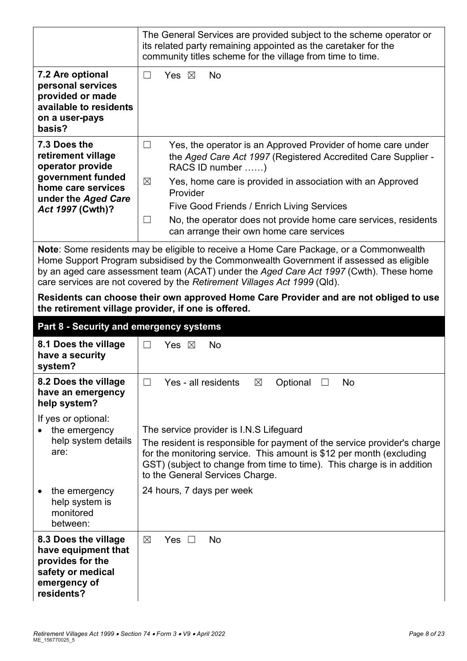|                                                                                                                 | The General Services are provided subject to the scheme operator or<br>its related party remaining appointed as the caretaker for the<br>community titles scheme for the village from time to time.                                                                                                                                                    |  |  |
|-----------------------------------------------------------------------------------------------------------------|--------------------------------------------------------------------------------------------------------------------------------------------------------------------------------------------------------------------------------------------------------------------------------------------------------------------------------------------------------|--|--|
| 7.2 Are optional<br>personal services<br>provided or made<br>available to residents<br>on a user-pays<br>basis? | Yes $\boxtimes$<br><b>No</b><br>$\Box$                                                                                                                                                                                                                                                                                                                 |  |  |
| 7.3 Does the<br>retirement village<br>operator provide                                                          | Yes, the operator is an Approved Provider of home care under<br>$\Box$<br>the Aged Care Act 1997 (Registered Accredited Care Supplier -<br>RACS ID number )                                                                                                                                                                                            |  |  |
| government funded<br>home care services<br>under the Aged Care                                                  | $\boxtimes$<br>Yes, home care is provided in association with an Approved<br>Provider<br>Five Good Friends / Enrich Living Services                                                                                                                                                                                                                    |  |  |
| Act 1997 (Cwth)?                                                                                                | $\Box$<br>No, the operator does not provide home care services, residents<br>can arrange their own home care services                                                                                                                                                                                                                                  |  |  |
|                                                                                                                 | Note: Some residents may be eligible to receive a Home Care Package, or a Commonwealth<br>Home Support Program subsidised by the Commonwealth Government if assessed as eligible<br>by an aged care assessment team (ACAT) under the Aged Care Act 1997 (Cwth). These home<br>care services are not covered by the Retirement Villages Act 1999 (Qld). |  |  |
|                                                                                                                 | Residents can choose their own approved Home Care Provider and are not obliged to use<br>the retirement village provider, if one is offered.                                                                                                                                                                                                           |  |  |
|                                                                                                                 |                                                                                                                                                                                                                                                                                                                                                        |  |  |
| Part 8 - Security and emergency systems                                                                         |                                                                                                                                                                                                                                                                                                                                                        |  |  |
| 8.1 Does the village<br>have a security<br>system?                                                              | $\Box$<br>Yes $\boxtimes$<br><b>No</b>                                                                                                                                                                                                                                                                                                                 |  |  |
| 8.2 Does the village<br>have an emergency<br>help system?                                                       | Yes - all residents<br>No<br>Optional □<br>$\boxtimes$<br>$\Box$                                                                                                                                                                                                                                                                                       |  |  |
| If yes or optional:<br>the emergency<br>help system details<br>are:                                             | The service provider is I.N.S Lifeguard<br>The resident is responsible for payment of the service provider's charge<br>for the monitoring service. This amount is \$12 per month (excluding<br>GST) (subject to change from time to time). This charge is in addition<br>to the General Services Charge.                                               |  |  |
| the emergency<br>help system is<br>monitored<br>between:                                                        | 24 hours, 7 days per week                                                                                                                                                                                                                                                                                                                              |  |  |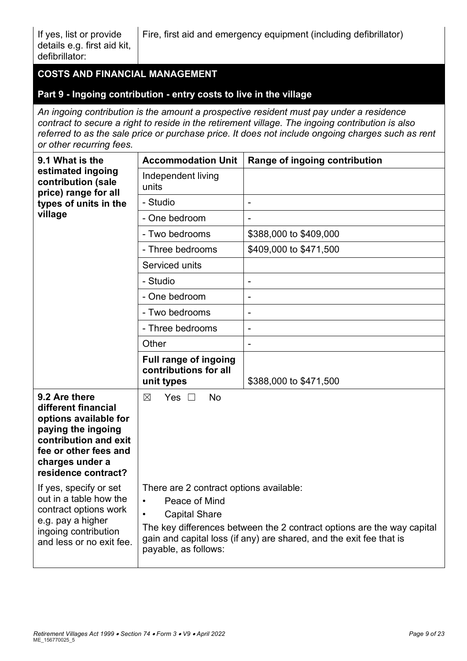# **COSTS AND FINANCIAL MANAGEMENT**

#### **Part 9 - Ingoing contribution - entry costs to live in the village**

*An ingoing contribution is the amount a prospective resident must pay under a residence contract to secure a right to reside in the retirement village. The ingoing contribution is also referred to as the sale price or purchase price. It does not include ongoing charges such as rent or other recurring fees.*

| 9.1 What is the                                                                                                                                                                 | <b>Accommodation Unit</b>                                                                                                                                                                                                                                              | Range of ingoing contribution |
|---------------------------------------------------------------------------------------------------------------------------------------------------------------------------------|------------------------------------------------------------------------------------------------------------------------------------------------------------------------------------------------------------------------------------------------------------------------|-------------------------------|
| estimated ingoing<br>contribution (sale<br>price) range for all                                                                                                                 | Independent living<br>units                                                                                                                                                                                                                                            |                               |
| types of units in the                                                                                                                                                           | - Studio                                                                                                                                                                                                                                                               | $\overline{\phantom{a}}$      |
| village                                                                                                                                                                         | - One bedroom                                                                                                                                                                                                                                                          |                               |
|                                                                                                                                                                                 | - Two bedrooms                                                                                                                                                                                                                                                         | \$388,000 to \$409,000        |
|                                                                                                                                                                                 | - Three bedrooms                                                                                                                                                                                                                                                       | \$409,000 to \$471,500        |
|                                                                                                                                                                                 | Serviced units                                                                                                                                                                                                                                                         |                               |
|                                                                                                                                                                                 | - Studio                                                                                                                                                                                                                                                               |                               |
|                                                                                                                                                                                 | - One bedroom                                                                                                                                                                                                                                                          | $\overline{\phantom{a}}$      |
|                                                                                                                                                                                 | - Two bedrooms                                                                                                                                                                                                                                                         |                               |
|                                                                                                                                                                                 | - Three bedrooms                                                                                                                                                                                                                                                       | $\overline{\phantom{a}}$      |
|                                                                                                                                                                                 | Other                                                                                                                                                                                                                                                                  | $\overline{\phantom{a}}$      |
|                                                                                                                                                                                 | Full range of ingoing<br>contributions for all<br>unit types                                                                                                                                                                                                           | \$388,000 to \$471,500        |
| 9.2 Are there<br>different financial<br>options available for<br>paying the ingoing<br>contribution and exit<br>fee or other fees and<br>charges under a<br>residence contract? | <b>No</b><br>Yes $\Box$<br>$\boxtimes$                                                                                                                                                                                                                                 |                               |
| If yes, specify or set<br>out in a table how the<br>contract options work<br>e.g. pay a higher<br>ingoing contribution<br>and less or no exit fee.                              | There are 2 contract options available:<br>Peace of Mind<br>$\bullet$<br><b>Capital Share</b><br>The key differences between the 2 contract options are the way capital<br>gain and capital loss (if any) are shared, and the exit fee that is<br>payable, as follows: |                               |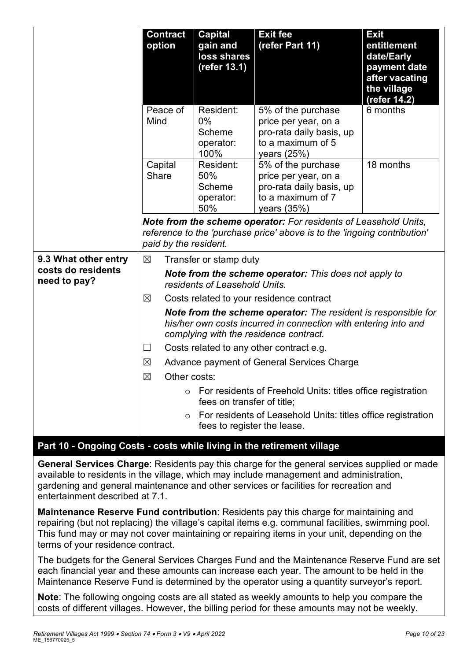|                                                            | <b>Contract</b><br>option                                                                                                                                                                                                                                                                                                                                                        | <b>Capital</b><br>gain and<br>loss shares<br>(refer 13.1) | <b>Exit fee</b><br>(refer Part 11)                                                                                                           | <b>Exit</b><br>entitlement<br>date/Early<br>payment date<br>after vacating<br>the village<br>(refer 14.2) |
|------------------------------------------------------------|----------------------------------------------------------------------------------------------------------------------------------------------------------------------------------------------------------------------------------------------------------------------------------------------------------------------------------------------------------------------------------|-----------------------------------------------------------|----------------------------------------------------------------------------------------------------------------------------------------------|-----------------------------------------------------------------------------------------------------------|
|                                                            | Peace of<br>Mind                                                                                                                                                                                                                                                                                                                                                                 | Resident:<br>$0\%$<br>Scheme<br>operator:<br>100%         | 5% of the purchase<br>price per year, on a<br>pro-rata daily basis, up<br>to a maximum of 5<br>years (25%)                                   | 6 months                                                                                                  |
|                                                            | Capital<br><b>Share</b>                                                                                                                                                                                                                                                                                                                                                          | Resident:<br>50%<br>Scheme<br>operator:<br>50%            | 5% of the purchase<br>price per year, on a<br>pro-rata daily basis, up<br>to a maximum of 7<br>years $(35%)$                                 | 18 months                                                                                                 |
|                                                            | paid by the resident.                                                                                                                                                                                                                                                                                                                                                            |                                                           | Note from the scheme operator: For residents of Leasehold Units,<br>reference to the 'purchase price' above is to the 'ingoing contribution' |                                                                                                           |
| 9.3 What other entry<br>costs do residents<br>need to pay? | $\boxtimes$<br>Transfer or stamp duty<br>Note from the scheme operator: This does not apply to<br>residents of Leasehold Units.<br>$\boxtimes$<br>Costs related to your residence contract<br><b>Note from the scheme operator:</b> The resident is responsible for<br>his/her own costs incurred in connection with entering into and<br>complying with the residence contract. |                                                           |                                                                                                                                              |                                                                                                           |
|                                                            |                                                                                                                                                                                                                                                                                                                                                                                  |                                                           |                                                                                                                                              |                                                                                                           |
|                                                            | $\Box$                                                                                                                                                                                                                                                                                                                                                                           |                                                           | Costs related to any other contract e.g.                                                                                                     |                                                                                                           |
|                                                            | $\boxtimes$                                                                                                                                                                                                                                                                                                                                                                      |                                                           | Advance payment of General Services Charge                                                                                                   |                                                                                                           |
|                                                            | $\boxtimes$<br>Other costs:                                                                                                                                                                                                                                                                                                                                                      |                                                           |                                                                                                                                              |                                                                                                           |
|                                                            | $\circ$                                                                                                                                                                                                                                                                                                                                                                          | fees on transfer of title;                                | For residents of Freehold Units: titles office registration                                                                                  |                                                                                                           |
|                                                            |                                                                                                                                                                                                                                                                                                                                                                                  | fees to register the lease.                               | For residents of Leasehold Units: titles office registration                                                                                 |                                                                                                           |

#### **Part 10 - Ongoing Costs - costs while living in the retirement village**

**General Services Charge**: Residents pay this charge for the general services supplied or made available to residents in the village, which may include management and administration, gardening and general maintenance and other services or facilities for recreation and entertainment described at 7.1.

**Maintenance Reserve Fund contribution**: Residents pay this charge for maintaining and repairing (but not replacing) the village's capital items e.g. communal facilities, swimming pool. This fund may or may not cover maintaining or repairing items in your unit, depending on the terms of your residence contract.

The budgets for the General Services Charges Fund and the Maintenance Reserve Fund are set each financial year and these amounts can increase each year. The amount to be held in the Maintenance Reserve Fund is determined by the operator using a quantity surveyor's report.

**Note**: The following ongoing costs are all stated as weekly amounts to help you compare the costs of different villages. However, the billing period for these amounts may not be weekly.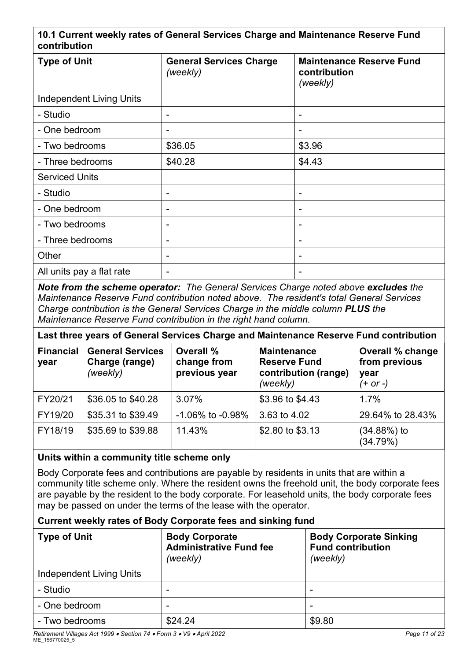#### **10.1 Current weekly rates of General Services Charge and Maintenance Reserve Fund contribution**

| <b>Type of Unit</b>             | <b>General Services Charge</b><br>(weekly) | <b>Maintenance Reserve Fund</b><br>contribution<br>(weekly) |
|---------------------------------|--------------------------------------------|-------------------------------------------------------------|
| <b>Independent Living Units</b> |                                            |                                                             |
| - Studio                        | -                                          | $\blacksquare$                                              |
| - One bedroom                   | ۰                                          | $\blacksquare$                                              |
| - Two bedrooms                  | \$36.05                                    | \$3.96                                                      |
| - Three bedrooms                | \$40.28                                    | \$4.43                                                      |
| <b>Serviced Units</b>           |                                            |                                                             |
| - Studio                        | -                                          | ٠                                                           |
| - One bedroom                   | -                                          | $\overline{\phantom{a}}$                                    |
| - Two bedrooms                  | -                                          | $\overline{\phantom{0}}$                                    |
| - Three bedrooms                | ۰                                          | $\blacksquare$                                              |
| Other                           | ۰                                          | $\blacksquare$                                              |
| All units pay a flat rate       | -                                          | $\overline{\phantom{0}}$                                    |

*Note from the scheme operator: The General Services Charge noted above excludes the Maintenance Reserve Fund contribution noted above. The resident's total General Services Charge contribution is the General Services Charge in the middle column PLUS the Maintenance Reserve Fund contribution in the right hand column.*

| Last three years of General Services Charge and Maintenance Reserve Fund contribution |                                                       |                                           |                                                                               |                                                                |
|---------------------------------------------------------------------------------------|-------------------------------------------------------|-------------------------------------------|-------------------------------------------------------------------------------|----------------------------------------------------------------|
| <b>Financial</b><br>year                                                              | <b>General Services</b><br>Charge (range)<br>(weekly) | Overall %<br>change from<br>previous year | <b>Maintenance</b><br><b>Reserve Fund</b><br>contribution (range)<br>(weekly) | <b>Overall % change</b><br>from previous<br>year<br>$(+ or -)$ |
| FY20/21                                                                               | \$36.05 to \$40.28                                    | 3.07%                                     | \$3.96 to \$4.43                                                              | 1.7%                                                           |
| FY19/20                                                                               | \$35.31 to \$39.49                                    | $-1.06\%$ to $-0.98\%$                    | 3.63 to 4.02                                                                  | 29.64% to 28.43%                                               |
| FY18/19                                                                               | \$35.69 to \$39.88                                    | 11.43%                                    | \$2.80 to \$3.13                                                              | $(34.88%)$ to<br>(34.79%)                                      |

#### **Units within a community title scheme only**

Body Corporate fees and contributions are payable by residents in units that are within a community title scheme only. Where the resident owns the freehold unit, the body corporate fees are payable by the resident to the body corporate. For leasehold units, the body corporate fees may be passed on under the terms of the lease with the operator.

#### **Current weekly rates of Body Corporate fees and sinking fund**

| <b>Type of Unit</b>      | <b>Body Corporate</b><br><b>Administrative Fund fee</b><br>(weekly) | <b>Body Corporate Sinking</b><br><b>Fund contribution</b><br>(weekly) |
|--------------------------|---------------------------------------------------------------------|-----------------------------------------------------------------------|
| Independent Living Units |                                                                     |                                                                       |
| - Studio                 | -                                                                   | -                                                                     |
| - One bedroom            | $\overline{\phantom{0}}$                                            | -                                                                     |
| - Two bedrooms           | \$24.24                                                             | \$9.80                                                                |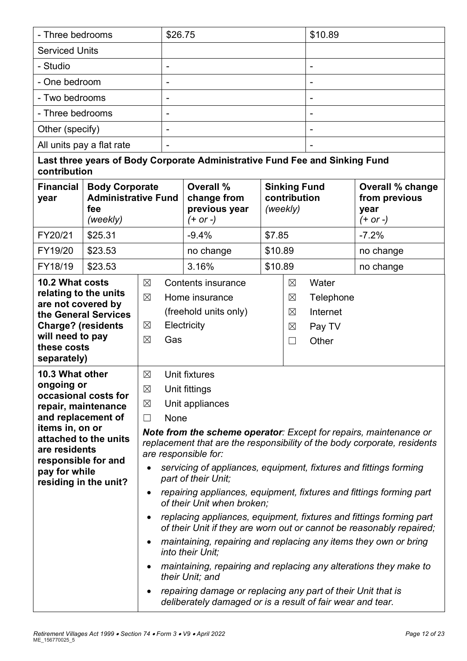| - Three bedrooms                                                                                                                                                                                                                                                                                       |                                                     |                                                | \$26.75                                                                                    |                                                                                                                                                                                                                                                                                                                                                                                                                                                                                                                                                                                                                                                                                                                                                                                                                                           | \$10.89  |                                     |                                                   |                                          |
|--------------------------------------------------------------------------------------------------------------------------------------------------------------------------------------------------------------------------------------------------------------------------------------------------------|-----------------------------------------------------|------------------------------------------------|--------------------------------------------------------------------------------------------|-------------------------------------------------------------------------------------------------------------------------------------------------------------------------------------------------------------------------------------------------------------------------------------------------------------------------------------------------------------------------------------------------------------------------------------------------------------------------------------------------------------------------------------------------------------------------------------------------------------------------------------------------------------------------------------------------------------------------------------------------------------------------------------------------------------------------------------------|----------|-------------------------------------|---------------------------------------------------|------------------------------------------|
| <b>Serviced Units</b>                                                                                                                                                                                                                                                                                  |                                                     |                                                |                                                                                            |                                                                                                                                                                                                                                                                                                                                                                                                                                                                                                                                                                                                                                                                                                                                                                                                                                           |          |                                     |                                                   |                                          |
| - Studio                                                                                                                                                                                                                                                                                               |                                                     |                                                | $\overline{\phantom{a}}$                                                                   |                                                                                                                                                                                                                                                                                                                                                                                                                                                                                                                                                                                                                                                                                                                                                                                                                                           |          | $\qquad \qquad \blacksquare$        |                                                   |                                          |
| - One bedroom                                                                                                                                                                                                                                                                                          |                                                     |                                                | ٠                                                                                          |                                                                                                                                                                                                                                                                                                                                                                                                                                                                                                                                                                                                                                                                                                                                                                                                                                           |          |                                     | ۰                                                 |                                          |
| - Two bedrooms                                                                                                                                                                                                                                                                                         |                                                     |                                                | $\qquad \qquad \blacksquare$                                                               |                                                                                                                                                                                                                                                                                                                                                                                                                                                                                                                                                                                                                                                                                                                                                                                                                                           |          |                                     |                                                   |                                          |
| - Three bedrooms                                                                                                                                                                                                                                                                                       |                                                     |                                                | $\overline{\phantom{a}}$                                                                   |                                                                                                                                                                                                                                                                                                                                                                                                                                                                                                                                                                                                                                                                                                                                                                                                                                           |          |                                     | $\overline{\phantom{a}}$                          |                                          |
| Other (specify)                                                                                                                                                                                                                                                                                        |                                                     |                                                |                                                                                            |                                                                                                                                                                                                                                                                                                                                                                                                                                                                                                                                                                                                                                                                                                                                                                                                                                           |          |                                     |                                                   |                                          |
|                                                                                                                                                                                                                                                                                                        | All units pay a flat rate                           |                                                | $\overline{\phantom{a}}$                                                                   |                                                                                                                                                                                                                                                                                                                                                                                                                                                                                                                                                                                                                                                                                                                                                                                                                                           |          |                                     |                                                   |                                          |
| contribution                                                                                                                                                                                                                                                                                           |                                                     |                                                |                                                                                            | Last three years of Body Corporate Administrative Fund Fee and Sinking Fund                                                                                                                                                                                                                                                                                                                                                                                                                                                                                                                                                                                                                                                                                                                                                               |          |                                     |                                                   |                                          |
| <b>Financial</b><br>year                                                                                                                                                                                                                                                                               | <b>Body Corporate</b><br><b>Administrative Fund</b> |                                                | <b>Overall %</b><br>change from                                                            |                                                                                                                                                                                                                                                                                                                                                                                                                                                                                                                                                                                                                                                                                                                                                                                                                                           |          | <b>Sinking Fund</b><br>contribution |                                                   | <b>Overall % change</b><br>from previous |
|                                                                                                                                                                                                                                                                                                        | fee<br>(weekly)                                     |                                                |                                                                                            | previous year<br>$(+ or -)$                                                                                                                                                                                                                                                                                                                                                                                                                                                                                                                                                                                                                                                                                                                                                                                                               | (weekly) |                                     |                                                   | year<br>$(+ or -)$                       |
| FY20/21                                                                                                                                                                                                                                                                                                | \$25.31                                             |                                                |                                                                                            | $-9.4%$                                                                                                                                                                                                                                                                                                                                                                                                                                                                                                                                                                                                                                                                                                                                                                                                                                   | \$7.85   |                                     |                                                   | $-7.2%$                                  |
| FY19/20                                                                                                                                                                                                                                                                                                | \$23.53                                             |                                                |                                                                                            | no change                                                                                                                                                                                                                                                                                                                                                                                                                                                                                                                                                                                                                                                                                                                                                                                                                                 |          | \$10.89                             |                                                   | no change                                |
| FY18/19                                                                                                                                                                                                                                                                                                | \$23.53                                             |                                                |                                                                                            | 3.16%                                                                                                                                                                                                                                                                                                                                                                                                                                                                                                                                                                                                                                                                                                                                                                                                                                     | \$10.89  |                                     |                                                   | no change                                |
| 10.2 What costs<br>relating to the units<br>are not covered by<br>the General Services<br><b>Charge? (residents</b><br>will need to pay<br>these costs                                                                                                                                                 |                                                     | $\boxtimes$<br>$\boxtimes$<br>⊠<br>$\boxtimes$ | <b>Contents insurance</b><br>Home insurance<br>(freehold units only)<br>Electricity<br>Gas |                                                                                                                                                                                                                                                                                                                                                                                                                                                                                                                                                                                                                                                                                                                                                                                                                                           |          | ⊠<br>⊠<br>$\boxtimes$<br>⊠          | Water<br>Telephone<br>Internet<br>Pay TV<br>Other |                                          |
| separately)<br>10.3 What other<br>$\boxtimes$<br>ongoing or<br>$\boxtimes$<br>occasional costs for<br>$\boxtimes$<br>repair, maintenance<br>and replacement of<br>$\Box$<br>items in, on or<br>attached to the units<br>are residents<br>responsible for and<br>pay for while<br>residing in the unit? |                                                     |                                                | deliberately damaged or is a result of fair wear and tear.                                 | Unit fixtures<br>Unit fittings<br>Unit appliances<br>None<br><b>Note from the scheme operator:</b> Except for repairs, maintenance or<br>replacement that are the responsibility of the body corporate, residents<br>are responsible for:<br>servicing of appliances, equipment, fixtures and fittings forming<br>part of their Unit;<br>repairing appliances, equipment, fixtures and fittings forming part<br>of their Unit when broken;<br>replacing appliances, equipment, fixtures and fittings forming part<br>of their Unit if they are worn out or cannot be reasonably repaired;<br>maintaining, repairing and replacing any items they own or bring<br>into their Unit;<br>maintaining, repairing and replacing any alterations they make to<br>their Unit; and<br>repairing damage or replacing any part of their Unit that is |          |                                     |                                                   |                                          |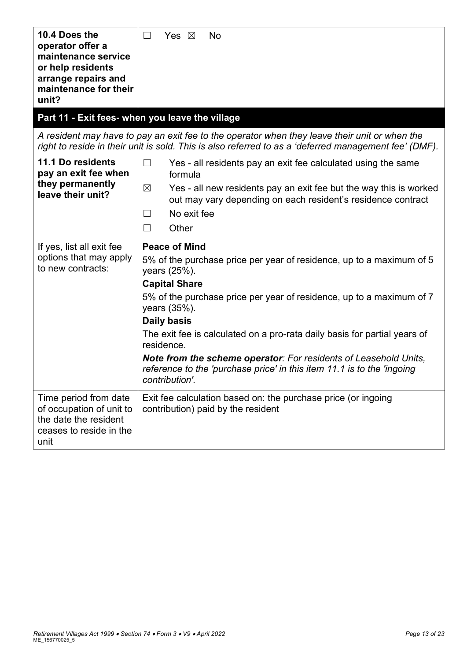| 10.4 Does the<br>operator offer a<br>maintenance service<br>or help residents<br>arrange repairs and<br>maintenance for their<br>unit? | Yes $\boxtimes$<br>No<br>$\Box$                                                                                                                                                                        |  |  |  |
|----------------------------------------------------------------------------------------------------------------------------------------|--------------------------------------------------------------------------------------------------------------------------------------------------------------------------------------------------------|--|--|--|
|                                                                                                                                        | Part 11 - Exit fees- when you leave the village                                                                                                                                                        |  |  |  |
|                                                                                                                                        | A resident may have to pay an exit fee to the operator when they leave their unit or when the<br>right to reside in their unit is sold. This is also referred to as a 'deferred management fee' (DMF). |  |  |  |
| 11.1 Do residents<br>pay an exit fee when                                                                                              | $\Box$<br>Yes - all residents pay an exit fee calculated using the same<br>formula                                                                                                                     |  |  |  |
| they permanently<br>leave their unit?                                                                                                  | $\boxtimes$<br>Yes - all new residents pay an exit fee but the way this is worked<br>out may vary depending on each resident's residence contract                                                      |  |  |  |
|                                                                                                                                        | No exit fee<br>$\Box$                                                                                                                                                                                  |  |  |  |
|                                                                                                                                        | Other<br>$\Box$                                                                                                                                                                                        |  |  |  |
| If yes, list all exit fee                                                                                                              | <b>Peace of Mind</b>                                                                                                                                                                                   |  |  |  |
| options that may apply<br>to new contracts:                                                                                            | 5% of the purchase price per year of residence, up to a maximum of 5<br>years (25%).                                                                                                                   |  |  |  |
|                                                                                                                                        | <b>Capital Share</b>                                                                                                                                                                                   |  |  |  |
|                                                                                                                                        | 5% of the purchase price per year of residence, up to a maximum of 7<br>years (35%).                                                                                                                   |  |  |  |
|                                                                                                                                        | Daily basis                                                                                                                                                                                            |  |  |  |
|                                                                                                                                        | The exit fee is calculated on a pro-rata daily basis for partial years of<br>residence.                                                                                                                |  |  |  |
|                                                                                                                                        | <b>Note from the scheme operator:</b> For residents of Leasehold Units,<br>reference to the 'purchase price' in this item 11.1 is to the 'ingoing<br>contribution'.                                    |  |  |  |
| Time period from date<br>of occupation of unit to<br>the date the resident<br>ceases to reside in the<br>unit                          | Exit fee calculation based on: the purchase price (or ingoing<br>contribution) paid by the resident                                                                                                    |  |  |  |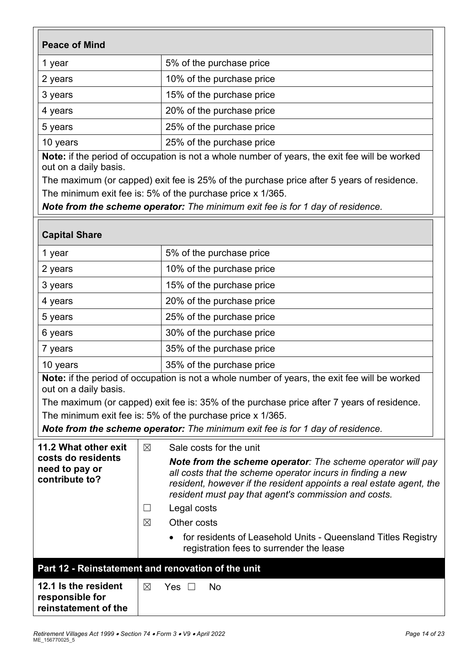| <b>Peace of Mind</b>                                                                                                   |                                                                                                                                                                                                                                                                                                                                    |  |  |  |  |
|------------------------------------------------------------------------------------------------------------------------|------------------------------------------------------------------------------------------------------------------------------------------------------------------------------------------------------------------------------------------------------------------------------------------------------------------------------------|--|--|--|--|
| 1 year                                                                                                                 | 5% of the purchase price                                                                                                                                                                                                                                                                                                           |  |  |  |  |
| 2 years                                                                                                                | 10% of the purchase price                                                                                                                                                                                                                                                                                                          |  |  |  |  |
| 3 years                                                                                                                | 15% of the purchase price                                                                                                                                                                                                                                                                                                          |  |  |  |  |
| 4 years                                                                                                                | 20% of the purchase price                                                                                                                                                                                                                                                                                                          |  |  |  |  |
| 5 years                                                                                                                | 25% of the purchase price                                                                                                                                                                                                                                                                                                          |  |  |  |  |
| 10 years                                                                                                               | 25% of the purchase price                                                                                                                                                                                                                                                                                                          |  |  |  |  |
| Note: if the period of occupation is not a whole number of years, the exit fee will be worked<br>out on a daily basis. |                                                                                                                                                                                                                                                                                                                                    |  |  |  |  |
| The maximum (or capped) exit fee is 25% of the purchase price after 5 years of residence.                              |                                                                                                                                                                                                                                                                                                                                    |  |  |  |  |
| The minimum exit fee is: 5% of the purchase price x 1/365.                                                             |                                                                                                                                                                                                                                                                                                                                    |  |  |  |  |
| Note from the scheme operator: The minimum exit fee is for 1 day of residence.                                         |                                                                                                                                                                                                                                                                                                                                    |  |  |  |  |
| <b>Capital Share</b>                                                                                                   |                                                                                                                                                                                                                                                                                                                                    |  |  |  |  |
|                                                                                                                        | $\mathbf{F}$ $\mathbf{A}$ $\mathbf{A}$ $\mathbf{B}$ $\mathbf{A}$ $\mathbf{B}$ $\mathbf{A}$ $\mathbf{B}$ $\mathbf{A}$ $\mathbf{B}$ $\mathbf{B}$ $\mathbf{B}$ $\mathbf{A}$ $\mathbf{B}$ $\mathbf{B}$ $\mathbf{B}$ $\mathbf{B}$ $\mathbf{B}$ $\mathbf{B}$ $\mathbf{B}$ $\mathbf{B}$ $\mathbf{B}$ $\mathbf{B}$ $\mathbf{B}$ $\mathbf{$ |  |  |  |  |

| 1 year   | 5% of the purchase price  |
|----------|---------------------------|
| 2 years  | 10% of the purchase price |
| 3 years  | 15% of the purchase price |
| 4 years  | 20% of the purchase price |
| 5 years  | 25% of the purchase price |
| 6 years  | 30% of the purchase price |
| 7 years  | 35% of the purchase price |
| 10 years | 35% of the purchase price |

**Note:** if the period of occupation is not a whole number of years, the exit fee will be worked out on a daily basis.

The maximum (or capped) exit fee is: 35% of the purchase price after 7 years of residence. The minimum exit fee is: 5% of the purchase price x 1/365.

*Note from the scheme operator: The minimum exit fee is for 1 day of residence.*

| 11.2 What other exit<br>costs do residents<br>need to pay or<br>contribute to? | $\boxtimes$<br>$\boxtimes$                         | Sale costs for the unit<br>Note from the scheme operator: The scheme operator will pay<br>all costs that the scheme operator incurs in finding a new<br>resident, however if the resident appoints a real estate agent, the<br>resident must pay that agent's commission and costs.<br>Legal costs<br>Other costs |  |  |  |  |
|--------------------------------------------------------------------------------|----------------------------------------------------|-------------------------------------------------------------------------------------------------------------------------------------------------------------------------------------------------------------------------------------------------------------------------------------------------------------------|--|--|--|--|
|                                                                                |                                                    | for residents of Leasehold Units - Queensland Titles Registry<br>registration fees to surrender the lease                                                                                                                                                                                                         |  |  |  |  |
|                                                                                | Part 12 - Reinstatement and renovation of the unit |                                                                                                                                                                                                                                                                                                                   |  |  |  |  |
| 12.1 Is the resident<br>responsible for<br>reinstatement of the                | ⊠                                                  | Nο<br>Yes                                                                                                                                                                                                                                                                                                         |  |  |  |  |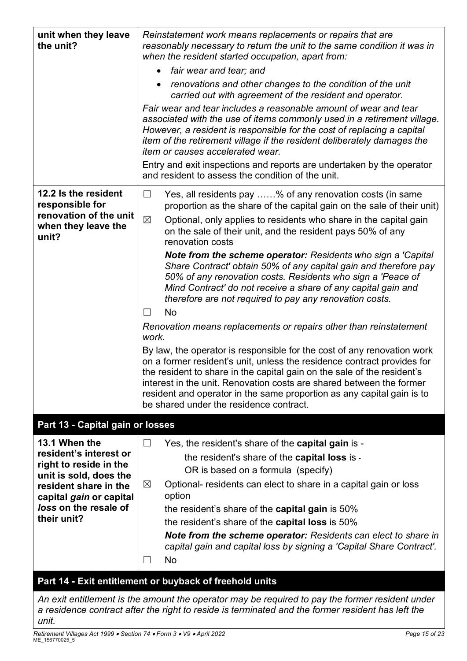| unit when they leave<br>the unit?                                                                 | Reinstatement work means replacements or repairs that are<br>reasonably necessary to return the unit to the same condition it was in<br>when the resident started occupation, apart from:                                                                                                                                                                                                                                  |  |  |  |
|---------------------------------------------------------------------------------------------------|----------------------------------------------------------------------------------------------------------------------------------------------------------------------------------------------------------------------------------------------------------------------------------------------------------------------------------------------------------------------------------------------------------------------------|--|--|--|
|                                                                                                   | fair wear and tear; and                                                                                                                                                                                                                                                                                                                                                                                                    |  |  |  |
|                                                                                                   | renovations and other changes to the condition of the unit<br>carried out with agreement of the resident and operator.                                                                                                                                                                                                                                                                                                     |  |  |  |
|                                                                                                   | Fair wear and tear includes a reasonable amount of wear and tear<br>associated with the use of items commonly used in a retirement village.<br>However, a resident is responsible for the cost of replacing a capital<br>item of the retirement village if the resident deliberately damages the<br><i>item or causes accelerated wear.</i>                                                                                |  |  |  |
|                                                                                                   | Entry and exit inspections and reports are undertaken by the operator<br>and resident to assess the condition of the unit.                                                                                                                                                                                                                                                                                                 |  |  |  |
| 12.2 Is the resident<br>responsible for<br>renovation of the unit<br>when they leave the<br>unit? | Yes, all residents pay % of any renovation costs (in same<br>$\sqcup$<br>proportion as the share of the capital gain on the sale of their unit)<br>$\boxtimes$<br>Optional, only applies to residents who share in the capital gain<br>on the sale of their unit, and the resident pays 50% of any<br>renovation costs                                                                                                     |  |  |  |
|                                                                                                   | <b>Note from the scheme operator:</b> Residents who sign a 'Capital<br>Share Contract' obtain 50% of any capital gain and therefore pay<br>50% of any renovation costs. Residents who sign a 'Peace of<br>Mind Contract' do not receive a share of any capital gain and<br>therefore are not required to pay any renovation costs.                                                                                         |  |  |  |
|                                                                                                   | No<br>$\Box$                                                                                                                                                                                                                                                                                                                                                                                                               |  |  |  |
|                                                                                                   | Renovation means replacements or repairs other than reinstatement<br>work.                                                                                                                                                                                                                                                                                                                                                 |  |  |  |
|                                                                                                   | By law, the operator is responsible for the cost of any renovation work<br>on a former resident's unit, unless the residence contract provides for<br>the resident to share in the capital gain on the sale of the resident's<br>interest in the unit. Renovation costs are shared between the former<br>resident and operator in the same proportion as any capital gain is to<br>be shared under the residence contract. |  |  |  |
| Part 13 - Capital gain or losses                                                                  |                                                                                                                                                                                                                                                                                                                                                                                                                            |  |  |  |
| 13.1 When the                                                                                     | Yes, the resident's share of the capital gain is -<br>$\Box$                                                                                                                                                                                                                                                                                                                                                               |  |  |  |
| resident's interest or                                                                            | the resident's share of the <b>capital loss</b> is -                                                                                                                                                                                                                                                                                                                                                                       |  |  |  |
| right to reside in the<br>unit is sold, does the                                                  | OR is based on a formula (specify)                                                                                                                                                                                                                                                                                                                                                                                         |  |  |  |
| resident share in the                                                                             | $\boxtimes$<br>Optional- residents can elect to share in a capital gain or loss                                                                                                                                                                                                                                                                                                                                            |  |  |  |
| capital gain or capital<br>loss on the resale of                                                  | option                                                                                                                                                                                                                                                                                                                                                                                                                     |  |  |  |
| their unit?                                                                                       | the resident's share of the <b>capital gain</b> is 50%<br>the resident's share of the <b>capital loss</b> is 50%                                                                                                                                                                                                                                                                                                           |  |  |  |
|                                                                                                   | <b>Note from the scheme operator:</b> Residents can elect to share in                                                                                                                                                                                                                                                                                                                                                      |  |  |  |
|                                                                                                   | capital gain and capital loss by signing a 'Capital Share Contract'.                                                                                                                                                                                                                                                                                                                                                       |  |  |  |
|                                                                                                   | No<br>$\blacksquare$                                                                                                                                                                                                                                                                                                                                                                                                       |  |  |  |
|                                                                                                   | Part 14 - Exit entitlement or buyback of freehold units                                                                                                                                                                                                                                                                                                                                                                    |  |  |  |

*An exit entitlement is the amount the operator may be required to pay the former resident under a residence contract after the right to reside is terminated and the former resident has left the unit.*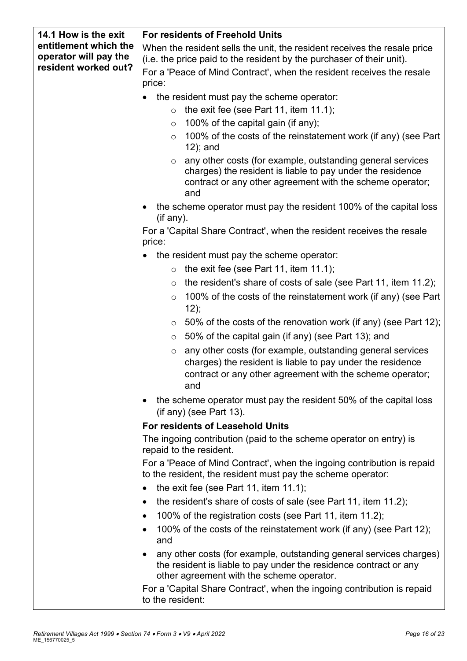| 14.1 How is the exit  | <b>For residents of Freehold Units</b>                                                                                                                                                                  |  |  |  |  |
|-----------------------|---------------------------------------------------------------------------------------------------------------------------------------------------------------------------------------------------------|--|--|--|--|
| entitlement which the | When the resident sells the unit, the resident receives the resale price                                                                                                                                |  |  |  |  |
| operator will pay the | (i.e. the price paid to the resident by the purchaser of their unit).                                                                                                                                   |  |  |  |  |
| resident worked out?  | For a 'Peace of Mind Contract', when the resident receives the resale<br>price:                                                                                                                         |  |  |  |  |
|                       | the resident must pay the scheme operator:                                                                                                                                                              |  |  |  |  |
|                       | the exit fee (see Part 11, item 11.1);<br>$\circ$                                                                                                                                                       |  |  |  |  |
|                       | 100% of the capital gain (if any);<br>$\circ$                                                                                                                                                           |  |  |  |  |
|                       | 100% of the costs of the reinstatement work (if any) (see Part<br>$\circ$                                                                                                                               |  |  |  |  |
|                       | $12$ ); and                                                                                                                                                                                             |  |  |  |  |
|                       | any other costs (for example, outstanding general services<br>$\circ$<br>charges) the resident is liable to pay under the residence<br>contract or any other agreement with the scheme operator;<br>and |  |  |  |  |
|                       | the scheme operator must pay the resident 100% of the capital loss<br>$($ if any $).$                                                                                                                   |  |  |  |  |
|                       | For a 'Capital Share Contract', when the resident receives the resale<br>price:                                                                                                                         |  |  |  |  |
|                       | the resident must pay the scheme operator:                                                                                                                                                              |  |  |  |  |
|                       | the exit fee (see Part 11, item 11.1);<br>$\circ$                                                                                                                                                       |  |  |  |  |
|                       | the resident's share of costs of sale (see Part 11, item 11.2);<br>$\circ$                                                                                                                              |  |  |  |  |
|                       | 100% of the costs of the reinstatement work (if any) (see Part<br>$\circ$                                                                                                                               |  |  |  |  |
|                       | 12);                                                                                                                                                                                                    |  |  |  |  |
|                       | 50% of the costs of the renovation work (if any) (see Part 12);<br>$\circ$                                                                                                                              |  |  |  |  |
|                       | 50% of the capital gain (if any) (see Part 13); and<br>$\circ$                                                                                                                                          |  |  |  |  |
|                       | any other costs (for example, outstanding general services<br>$\circ$<br>charges) the resident is liable to pay under the residence                                                                     |  |  |  |  |
|                       | contract or any other agreement with the scheme operator;<br>and                                                                                                                                        |  |  |  |  |
|                       |                                                                                                                                                                                                         |  |  |  |  |
|                       | the scheme operator must pay the resident 50% of the capital loss<br>$($ if any $)$ (see Part 13).                                                                                                      |  |  |  |  |
|                       | For residents of Leasehold Units                                                                                                                                                                        |  |  |  |  |
|                       | The ingoing contribution (paid to the scheme operator on entry) is<br>repaid to the resident.                                                                                                           |  |  |  |  |
|                       | For a 'Peace of Mind Contract', when the ingoing contribution is repaid<br>to the resident, the resident must pay the scheme operator:                                                                  |  |  |  |  |
|                       | the exit fee (see Part 11, item $11.1$ );<br>$\bullet$                                                                                                                                                  |  |  |  |  |
|                       | the resident's share of costs of sale (see Part 11, item 11.2);<br>$\bullet$                                                                                                                            |  |  |  |  |
|                       |                                                                                                                                                                                                         |  |  |  |  |
|                       | 100% of the registration costs (see Part 11, item 11.2);<br>$\bullet$                                                                                                                                   |  |  |  |  |
|                       | 100% of the costs of the reinstatement work (if any) (see Part 12);<br>٠<br>and                                                                                                                         |  |  |  |  |
|                       | any other costs (for example, outstanding general services charges)<br>$\bullet$<br>the resident is liable to pay under the residence contract or any<br>other agreement with the scheme operator.      |  |  |  |  |
|                       | For a 'Capital Share Contract', when the ingoing contribution is repaid                                                                                                                                 |  |  |  |  |
|                       | to the resident:                                                                                                                                                                                        |  |  |  |  |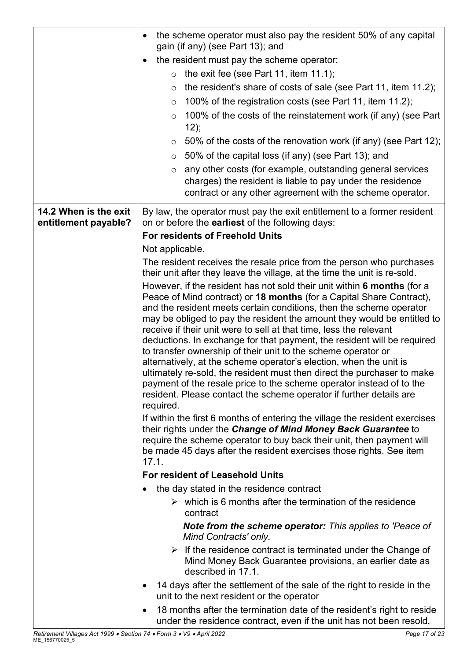|                                               | the scheme operator must also pay the resident 50% of any capital<br>$\bullet$                                                                                                                                                                                                                                                                                                                                                                                                                                                                                                                                                                                                                                                                                                                                                                                                                                                                                                                                                                                                                                                            |  |  |
|-----------------------------------------------|-------------------------------------------------------------------------------------------------------------------------------------------------------------------------------------------------------------------------------------------------------------------------------------------------------------------------------------------------------------------------------------------------------------------------------------------------------------------------------------------------------------------------------------------------------------------------------------------------------------------------------------------------------------------------------------------------------------------------------------------------------------------------------------------------------------------------------------------------------------------------------------------------------------------------------------------------------------------------------------------------------------------------------------------------------------------------------------------------------------------------------------------|--|--|
|                                               | gain (if any) (see Part 13); and                                                                                                                                                                                                                                                                                                                                                                                                                                                                                                                                                                                                                                                                                                                                                                                                                                                                                                                                                                                                                                                                                                          |  |  |
|                                               | the resident must pay the scheme operator:<br>$\bullet$                                                                                                                                                                                                                                                                                                                                                                                                                                                                                                                                                                                                                                                                                                                                                                                                                                                                                                                                                                                                                                                                                   |  |  |
|                                               | the exit fee (see Part 11, item 11.1);<br>$\circ$                                                                                                                                                                                                                                                                                                                                                                                                                                                                                                                                                                                                                                                                                                                                                                                                                                                                                                                                                                                                                                                                                         |  |  |
|                                               | the resident's share of costs of sale (see Part 11, item 11.2);<br>$\circ$                                                                                                                                                                                                                                                                                                                                                                                                                                                                                                                                                                                                                                                                                                                                                                                                                                                                                                                                                                                                                                                                |  |  |
|                                               | 100% of the registration costs (see Part 11, item 11.2);<br>O                                                                                                                                                                                                                                                                                                                                                                                                                                                                                                                                                                                                                                                                                                                                                                                                                                                                                                                                                                                                                                                                             |  |  |
|                                               | 100% of the costs of the reinstatement work (if any) (see Part<br>$\circ$<br>12);                                                                                                                                                                                                                                                                                                                                                                                                                                                                                                                                                                                                                                                                                                                                                                                                                                                                                                                                                                                                                                                         |  |  |
|                                               | 50% of the costs of the renovation work (if any) (see Part 12);<br>$\circ$                                                                                                                                                                                                                                                                                                                                                                                                                                                                                                                                                                                                                                                                                                                                                                                                                                                                                                                                                                                                                                                                |  |  |
|                                               | 50% of the capital loss (if any) (see Part 13); and<br>$\circ$                                                                                                                                                                                                                                                                                                                                                                                                                                                                                                                                                                                                                                                                                                                                                                                                                                                                                                                                                                                                                                                                            |  |  |
|                                               | any other costs (for example, outstanding general services<br>$\circ$<br>charges) the resident is liable to pay under the residence<br>contract or any other agreement with the scheme operator.                                                                                                                                                                                                                                                                                                                                                                                                                                                                                                                                                                                                                                                                                                                                                                                                                                                                                                                                          |  |  |
| 14.2 When is the exit<br>entitlement payable? | By law, the operator must pay the exit entitlement to a former resident<br>on or before the earliest of the following days:                                                                                                                                                                                                                                                                                                                                                                                                                                                                                                                                                                                                                                                                                                                                                                                                                                                                                                                                                                                                               |  |  |
|                                               | <b>For residents of Freehold Units</b>                                                                                                                                                                                                                                                                                                                                                                                                                                                                                                                                                                                                                                                                                                                                                                                                                                                                                                                                                                                                                                                                                                    |  |  |
|                                               | Not applicable.                                                                                                                                                                                                                                                                                                                                                                                                                                                                                                                                                                                                                                                                                                                                                                                                                                                                                                                                                                                                                                                                                                                           |  |  |
|                                               | The resident receives the resale price from the person who purchases<br>their unit after they leave the village, at the time the unit is re-sold.                                                                                                                                                                                                                                                                                                                                                                                                                                                                                                                                                                                                                                                                                                                                                                                                                                                                                                                                                                                         |  |  |
|                                               | However, if the resident has not sold their unit within 6 months (for a<br>Peace of Mind contract) or 18 months (for a Capital Share Contract),<br>and the resident meets certain conditions, then the scheme operator<br>may be obliged to pay the resident the amount they would be entitled to<br>receive if their unit were to sell at that time, less the relevant<br>deductions. In exchange for that payment, the resident will be required<br>to transfer ownership of their unit to the scheme operator or<br>alternatively, at the scheme operator's election, when the unit is<br>ultimately re-sold, the resident must then direct the purchaser to make<br>payment of the resale price to the scheme operator instead of to the<br>resident. Please contact the scheme operator if further details are<br>required.<br>If within the first 6 months of entering the village the resident exercises<br>their rights under the Change of Mind Money Back Guarantee to<br>require the scheme operator to buy back their unit, then payment will<br>be made 45 days after the resident exercises those rights. See item<br>17.1. |  |  |
|                                               | <b>For resident of Leasehold Units</b>                                                                                                                                                                                                                                                                                                                                                                                                                                                                                                                                                                                                                                                                                                                                                                                                                                                                                                                                                                                                                                                                                                    |  |  |
|                                               | the day stated in the residence contract                                                                                                                                                                                                                                                                                                                                                                                                                                                                                                                                                                                                                                                                                                                                                                                                                                                                                                                                                                                                                                                                                                  |  |  |
|                                               | $\triangleright$ which is 6 months after the termination of the residence<br>contract                                                                                                                                                                                                                                                                                                                                                                                                                                                                                                                                                                                                                                                                                                                                                                                                                                                                                                                                                                                                                                                     |  |  |
|                                               | <b>Note from the scheme operator:</b> This applies to 'Peace of<br>Mind Contracts' only.                                                                                                                                                                                                                                                                                                                                                                                                                                                                                                                                                                                                                                                                                                                                                                                                                                                                                                                                                                                                                                                  |  |  |
|                                               | $\triangleright$ If the residence contract is terminated under the Change of<br>Mind Money Back Guarantee provisions, an earlier date as<br>described in 17.1.                                                                                                                                                                                                                                                                                                                                                                                                                                                                                                                                                                                                                                                                                                                                                                                                                                                                                                                                                                            |  |  |
|                                               | 14 days after the settlement of the sale of the right to reside in the<br>$\bullet$<br>unit to the next resident or the operator                                                                                                                                                                                                                                                                                                                                                                                                                                                                                                                                                                                                                                                                                                                                                                                                                                                                                                                                                                                                          |  |  |
|                                               | 18 months after the termination date of the resident's right to reside<br>٠<br>under the residence contract, even if the unit has not been resold,                                                                                                                                                                                                                                                                                                                                                                                                                                                                                                                                                                                                                                                                                                                                                                                                                                                                                                                                                                                        |  |  |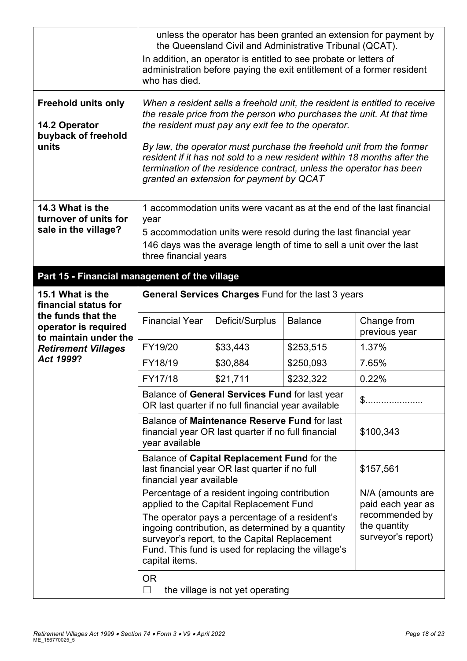|                                                                             | unless the operator has been granted an extension for payment by<br>the Queensland Civil and Administrative Tribunal (QCAT).<br>In addition, an operator is entitled to see probate or letters of<br>administration before paying the exit entitlement of a former resident<br>who has died.                                                                                                                                                                                      |                                                                                                              |                                                    |                              |  |
|-----------------------------------------------------------------------------|-----------------------------------------------------------------------------------------------------------------------------------------------------------------------------------------------------------------------------------------------------------------------------------------------------------------------------------------------------------------------------------------------------------------------------------------------------------------------------------|--------------------------------------------------------------------------------------------------------------|----------------------------------------------------|------------------------------|--|
| <b>Freehold units only</b><br>14.2 Operator<br>buyback of freehold<br>units | When a resident sells a freehold unit, the resident is entitled to receive<br>the resale price from the person who purchases the unit. At that time<br>the resident must pay any exit fee to the operator.<br>By law, the operator must purchase the freehold unit from the former<br>resident if it has not sold to a new resident within 18 months after the<br>termination of the residence contract, unless the operator has been<br>granted an extension for payment by QCAT |                                                                                                              |                                                    |                              |  |
| 14.3 What is the<br>turnover of units for<br>sale in the village?           | 1 accommodation units were vacant as at the end of the last financial<br>year<br>5 accommodation units were resold during the last financial year<br>146 days was the average length of time to sell a unit over the last<br>three financial years                                                                                                                                                                                                                                |                                                                                                              |                                                    |                              |  |
| Part 15 - Financial management of the village                               |                                                                                                                                                                                                                                                                                                                                                                                                                                                                                   |                                                                                                              |                                                    |                              |  |
| 15.1 What is the<br>financial status for<br>the funds that the              |                                                                                                                                                                                                                                                                                                                                                                                                                                                                                   |                                                                                                              | General Services Charges Fund for the last 3 years |                              |  |
| operator is required<br>to maintain under the                               | <b>Financial Year</b>                                                                                                                                                                                                                                                                                                                                                                                                                                                             | Deficit/Surplus                                                                                              | <b>Balance</b>                                     | Change from<br>previous year |  |
| <b>Retirement Villages</b>                                                  | FY19/20                                                                                                                                                                                                                                                                                                                                                                                                                                                                           | \$33,443                                                                                                     | \$253,515                                          | 1.37%                        |  |
| Act 1999?                                                                   | FY18/19                                                                                                                                                                                                                                                                                                                                                                                                                                                                           | \$30,884                                                                                                     | \$250,093                                          | 7.65%                        |  |
|                                                                             | FY17/18                                                                                                                                                                                                                                                                                                                                                                                                                                                                           | \$21,711                                                                                                     | \$232,322                                          | 0.22%                        |  |
|                                                                             |                                                                                                                                                                                                                                                                                                                                                                                                                                                                                   | Balance of General Services Fund for last year<br>\$.<br>OR last quarter if no full financial year available |                                                    |                              |  |
|                                                                             | Balance of Maintenance Reserve Fund for last<br>\$100,343<br>financial year OR last quarter if no full financial<br>year available                                                                                                                                                                                                                                                                                                                                                |                                                                                                              |                                                    |                              |  |
|                                                                             | Balance of Capital Replacement Fund for the<br>last financial year OR last quarter if no full<br>financial year available                                                                                                                                                                                                                                                                                                                                                         | \$157,561                                                                                                    |                                                    |                              |  |
|                                                                             | Percentage of a resident ingoing contribution<br>N/A (amounts are<br>applied to the Capital Replacement Fund<br>paid each year as<br>recommended by<br>The operator pays a percentage of a resident's<br>the quantity<br>ingoing contribution, as determined by a quantity<br>surveyor's report)<br>surveyor's report, to the Capital Replacement<br>Fund. This fund is used for replacing the village's<br>capital items.                                                        |                                                                                                              |                                                    |                              |  |
|                                                                             | <b>OR</b><br>the village is not yet operating<br>$\Box$                                                                                                                                                                                                                                                                                                                                                                                                                           |                                                                                                              |                                                    |                              |  |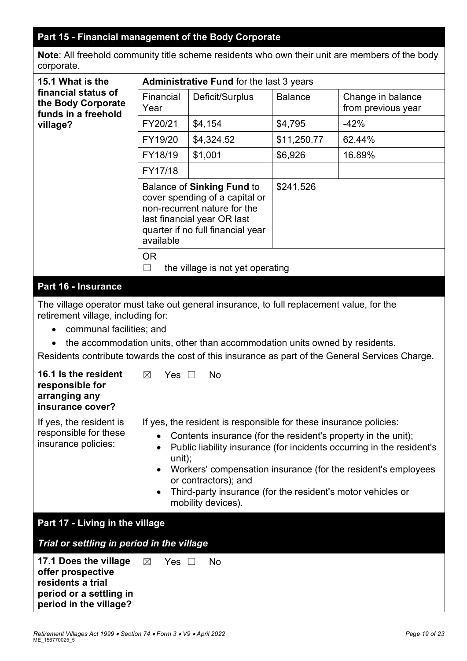# **Part 15 - Financial management of the Body Corporate**

**Note**: All freehold community title scheme residents who own their unit are members of the body corporate.

| 15.1 What is the                                                                                                                                                                                                                                                                                                                                                                                                                                                                                                      | <b>Administrative Fund for the last 3 years</b>         |                                                                                                                                                                         |                |                                         |  |  |
|-----------------------------------------------------------------------------------------------------------------------------------------------------------------------------------------------------------------------------------------------------------------------------------------------------------------------------------------------------------------------------------------------------------------------------------------------------------------------------------------------------------------------|---------------------------------------------------------|-------------------------------------------------------------------------------------------------------------------------------------------------------------------------|----------------|-----------------------------------------|--|--|
| financial status of<br>the Body Corporate<br>funds in a freehold                                                                                                                                                                                                                                                                                                                                                                                                                                                      | Financial<br>Year                                       | Deficit/Surplus                                                                                                                                                         | <b>Balance</b> | Change in balance<br>from previous year |  |  |
| village?                                                                                                                                                                                                                                                                                                                                                                                                                                                                                                              | FY20/21                                                 | \$4,154                                                                                                                                                                 | \$4,795        | $-42%$                                  |  |  |
|                                                                                                                                                                                                                                                                                                                                                                                                                                                                                                                       | FY19/20                                                 | \$4,324.52                                                                                                                                                              | \$11,250.77    | 62.44%                                  |  |  |
|                                                                                                                                                                                                                                                                                                                                                                                                                                                                                                                       | FY18/19                                                 | \$1,001                                                                                                                                                                 | \$6,926        | 16.89%                                  |  |  |
|                                                                                                                                                                                                                                                                                                                                                                                                                                                                                                                       | FY17/18                                                 |                                                                                                                                                                         |                |                                         |  |  |
|                                                                                                                                                                                                                                                                                                                                                                                                                                                                                                                       | available                                               | <b>Balance of Sinking Fund to</b><br>cover spending of a capital or<br>non-recurrent nature for the<br>last financial year OR last<br>quarter if no full financial year | \$241,526      |                                         |  |  |
|                                                                                                                                                                                                                                                                                                                                                                                                                                                                                                                       | <b>OR</b><br>$\Box$<br>the village is not yet operating |                                                                                                                                                                         |                |                                         |  |  |
| Part 16 - Insurance                                                                                                                                                                                                                                                                                                                                                                                                                                                                                                   |                                                         |                                                                                                                                                                         |                |                                         |  |  |
| The village operator must take out general insurance, to full replacement value, for the<br>retirement village, including for:<br>communal facilities; and<br>$\bullet$<br>the accommodation units, other than accommodation units owned by residents.<br>$\bullet$<br>Residents contribute towards the cost of this insurance as part of the General Services Charge.                                                                                                                                                |                                                         |                                                                                                                                                                         |                |                                         |  |  |
| 16.1 Is the resident<br>responsible for<br>arranging any<br>insurance cover?                                                                                                                                                                                                                                                                                                                                                                                                                                          | Yes $\square$<br>$\boxtimes$                            | <b>No</b>                                                                                                                                                               |                |                                         |  |  |
| If yes, the resident is responsible for these insurance policies:<br>If yes, the resident is<br>responsible for these<br>Contents insurance (for the resident's property in the unit);<br>$\bullet$<br>insurance policies:<br>Public liability insurance (for incidents occurring in the resident's<br>unit);<br>Workers' compensation insurance (for the resident's employees<br>$\bullet$<br>or contractors); and<br>Third-party insurance (for the resident's motor vehicles or<br>$\bullet$<br>mobility devices). |                                                         |                                                                                                                                                                         |                |                                         |  |  |
| Part 17 - Living in the village                                                                                                                                                                                                                                                                                                                                                                                                                                                                                       |                                                         |                                                                                                                                                                         |                |                                         |  |  |
| Trial or settling in period in the village                                                                                                                                                                                                                                                                                                                                                                                                                                                                            |                                                         |                                                                                                                                                                         |                |                                         |  |  |
| 17.1 Does the village<br>offer prospective<br>residents a trial<br>period or a settling in<br>period in the village?                                                                                                                                                                                                                                                                                                                                                                                                  | Yes $\square$<br>$\boxtimes$<br>No                      |                                                                                                                                                                         |                |                                         |  |  |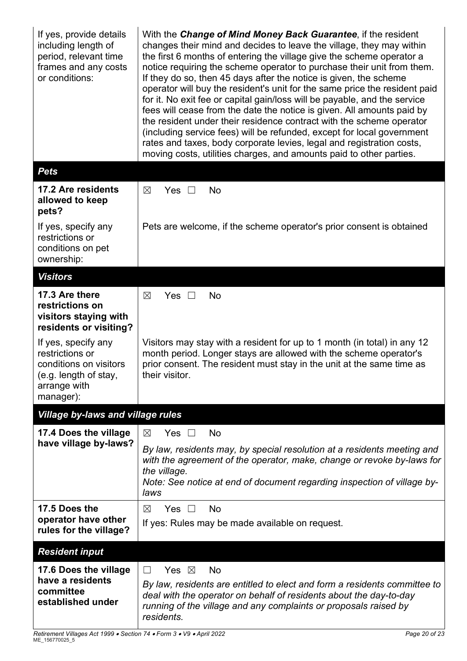| If yes, provide details<br>including length of<br>period, relevant time<br>frames and any costs<br>or conditions:      | With the Change of Mind Money Back Guarantee, if the resident<br>changes their mind and decides to leave the village, they may within<br>the first 6 months of entering the village give the scheme operator a<br>notice requiring the scheme operator to purchase their unit from them.<br>If they do so, then 45 days after the notice is given, the scheme<br>operator will buy the resident's unit for the same price the resident paid<br>for it. No exit fee or capital gain/loss will be payable, and the service<br>fees will cease from the date the notice is given. All amounts paid by<br>the resident under their residence contract with the scheme operator<br>(including service fees) will be refunded, except for local government<br>rates and taxes, body corporate levies, legal and registration costs,<br>moving costs, utilities charges, and amounts paid to other parties. |  |  |  |
|------------------------------------------------------------------------------------------------------------------------|------------------------------------------------------------------------------------------------------------------------------------------------------------------------------------------------------------------------------------------------------------------------------------------------------------------------------------------------------------------------------------------------------------------------------------------------------------------------------------------------------------------------------------------------------------------------------------------------------------------------------------------------------------------------------------------------------------------------------------------------------------------------------------------------------------------------------------------------------------------------------------------------------|--|--|--|
| <b>Pets</b>                                                                                                            |                                                                                                                                                                                                                                                                                                                                                                                                                                                                                                                                                                                                                                                                                                                                                                                                                                                                                                      |  |  |  |
| 17.2 Are residents<br>allowed to keep<br>pets?                                                                         | $\boxtimes$<br>Yes $\square$<br>No                                                                                                                                                                                                                                                                                                                                                                                                                                                                                                                                                                                                                                                                                                                                                                                                                                                                   |  |  |  |
| If yes, specify any<br>restrictions or<br>conditions on pet<br>ownership:                                              | Pets are welcome, if the scheme operator's prior consent is obtained                                                                                                                                                                                                                                                                                                                                                                                                                                                                                                                                                                                                                                                                                                                                                                                                                                 |  |  |  |
| <b>Visitors</b>                                                                                                        |                                                                                                                                                                                                                                                                                                                                                                                                                                                                                                                                                                                                                                                                                                                                                                                                                                                                                                      |  |  |  |
| 17.3 Are there<br>restrictions on<br>visitors staying with<br>residents or visiting?                                   | $\boxtimes$<br>Yes $\Box$<br><b>No</b>                                                                                                                                                                                                                                                                                                                                                                                                                                                                                                                                                                                                                                                                                                                                                                                                                                                               |  |  |  |
| If yes, specify any<br>restrictions or<br>conditions on visitors<br>(e.g. length of stay,<br>arrange with<br>manager): | Visitors may stay with a resident for up to 1 month (in total) in any 12<br>month period. Longer stays are allowed with the scheme operator's<br>prior consent. The resident must stay in the unit at the same time as<br>their visitor.                                                                                                                                                                                                                                                                                                                                                                                                                                                                                                                                                                                                                                                             |  |  |  |
| Village by-laws and village rules                                                                                      |                                                                                                                                                                                                                                                                                                                                                                                                                                                                                                                                                                                                                                                                                                                                                                                                                                                                                                      |  |  |  |
| 17.4 Does the village                                                                                                  | Yes $\square$<br>No<br>$\boxtimes$                                                                                                                                                                                                                                                                                                                                                                                                                                                                                                                                                                                                                                                                                                                                                                                                                                                                   |  |  |  |
| have village by-laws?                                                                                                  | By law, residents may, by special resolution at a residents meeting and<br>with the agreement of the operator, make, change or revoke by-laws for<br>the village.<br>Note: See notice at end of document regarding inspection of village by-<br>laws                                                                                                                                                                                                                                                                                                                                                                                                                                                                                                                                                                                                                                                 |  |  |  |
| 17.5 Does the<br>operator have other<br>rules for the village?                                                         | Yes $\square$<br><b>No</b><br>⊠<br>If yes: Rules may be made available on request.                                                                                                                                                                                                                                                                                                                                                                                                                                                                                                                                                                                                                                                                                                                                                                                                                   |  |  |  |
| <b>Resident input</b>                                                                                                  |                                                                                                                                                                                                                                                                                                                                                                                                                                                                                                                                                                                                                                                                                                                                                                                                                                                                                                      |  |  |  |
| 17.6 Does the village<br>have a residents<br>committee<br>established under                                            | No<br>Yes $\boxtimes$<br>$\Box$<br>By law, residents are entitled to elect and form a residents committee to<br>deal with the operator on behalf of residents about the day-to-day<br>running of the village and any complaints or proposals raised by<br>residents.                                                                                                                                                                                                                                                                                                                                                                                                                                                                                                                                                                                                                                 |  |  |  |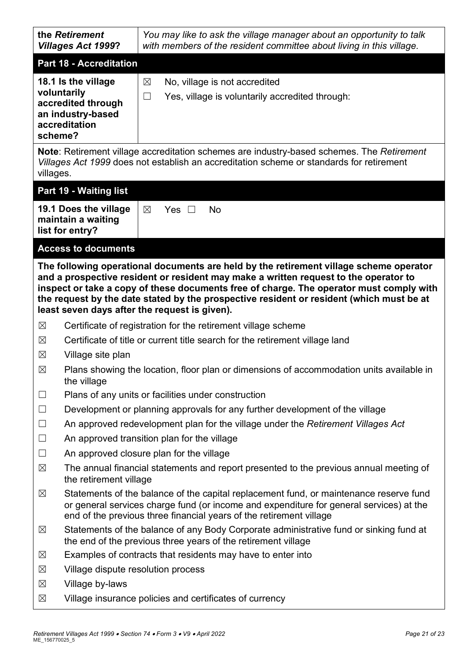| the Retirement<br><b>Villages Act 1999?</b>                                                               |                                                                                                                                                                                                                                                          | You may like to ask the village manager about an opportunity to talk<br>with members of the resident committee about living in this village.                                                                                                                                                                                 |  |  |  |
|-----------------------------------------------------------------------------------------------------------|----------------------------------------------------------------------------------------------------------------------------------------------------------------------------------------------------------------------------------------------------------|------------------------------------------------------------------------------------------------------------------------------------------------------------------------------------------------------------------------------------------------------------------------------------------------------------------------------|--|--|--|
|                                                                                                           | <b>Part 18 - Accreditation</b>                                                                                                                                                                                                                           |                                                                                                                                                                                                                                                                                                                              |  |  |  |
| 18.1 Is the village<br>voluntarily<br>accredited through<br>an industry-based<br>accreditation<br>scheme? |                                                                                                                                                                                                                                                          | No, village is not accredited<br>$\boxtimes$<br>$\Box$<br>Yes, village is voluntarily accredited through:                                                                                                                                                                                                                    |  |  |  |
| villages.                                                                                                 |                                                                                                                                                                                                                                                          | <b>Note:</b> Retirement village accreditation schemes are industry-based schemes. The Retirement<br>Villages Act 1999 does not establish an accreditation scheme or standards for retirement                                                                                                                                 |  |  |  |
|                                                                                                           | Part 19 - Waiting list                                                                                                                                                                                                                                   |                                                                                                                                                                                                                                                                                                                              |  |  |  |
|                                                                                                           | 19.1 Does the village<br>maintain a waiting<br>list for entry?                                                                                                                                                                                           | $\boxtimes$<br>Yes $\Box$<br><b>No</b>                                                                                                                                                                                                                                                                                       |  |  |  |
|                                                                                                           | <b>Access to documents</b>                                                                                                                                                                                                                               |                                                                                                                                                                                                                                                                                                                              |  |  |  |
|                                                                                                           |                                                                                                                                                                                                                                                          | and a prospective resident or resident may make a written request to the operator to<br>inspect or take a copy of these documents free of charge. The operator must comply with<br>the request by the date stated by the prospective resident or resident (which must be at<br>least seven days after the request is given). |  |  |  |
| $\boxtimes$                                                                                               | Certificate of registration for the retirement village scheme                                                                                                                                                                                            |                                                                                                                                                                                                                                                                                                                              |  |  |  |
| $\boxtimes$                                                                                               | Certificate of title or current title search for the retirement village land                                                                                                                                                                             |                                                                                                                                                                                                                                                                                                                              |  |  |  |
| $\boxtimes$                                                                                               | Village site plan                                                                                                                                                                                                                                        |                                                                                                                                                                                                                                                                                                                              |  |  |  |
| $\boxtimes$                                                                                               | Plans showing the location, floor plan or dimensions of accommodation units available in<br>the village                                                                                                                                                  |                                                                                                                                                                                                                                                                                                                              |  |  |  |
| $\Box$                                                                                                    |                                                                                                                                                                                                                                                          | Plans of any units or facilities under construction                                                                                                                                                                                                                                                                          |  |  |  |
| $\Box$                                                                                                    | Development or planning approvals for any further development of the village                                                                                                                                                                             |                                                                                                                                                                                                                                                                                                                              |  |  |  |
| $\Box$                                                                                                    | An approved redevelopment plan for the village under the Retirement Villages Act                                                                                                                                                                         |                                                                                                                                                                                                                                                                                                                              |  |  |  |
| $\Box$                                                                                                    | An approved transition plan for the village                                                                                                                                                                                                              |                                                                                                                                                                                                                                                                                                                              |  |  |  |
| $\Box$<br>$\boxtimes$                                                                                     | An approved closure plan for the village                                                                                                                                                                                                                 |                                                                                                                                                                                                                                                                                                                              |  |  |  |
|                                                                                                           | The annual financial statements and report presented to the previous annual meeting of<br>the retirement village                                                                                                                                         |                                                                                                                                                                                                                                                                                                                              |  |  |  |
| $\boxtimes$                                                                                               | Statements of the balance of the capital replacement fund, or maintenance reserve fund<br>or general services charge fund (or income and expenditure for general services) at the<br>end of the previous three financial years of the retirement village |                                                                                                                                                                                                                                                                                                                              |  |  |  |
| $\boxtimes$                                                                                               | Statements of the balance of any Body Corporate administrative fund or sinking fund at<br>the end of the previous three years of the retirement village                                                                                                  |                                                                                                                                                                                                                                                                                                                              |  |  |  |
| $\boxtimes$                                                                                               |                                                                                                                                                                                                                                                          | Examples of contracts that residents may have to enter into                                                                                                                                                                                                                                                                  |  |  |  |
| $\boxtimes$                                                                                               | Village dispute resolution process                                                                                                                                                                                                                       |                                                                                                                                                                                                                                                                                                                              |  |  |  |
| $\boxtimes$                                                                                               | Village by-laws                                                                                                                                                                                                                                          |                                                                                                                                                                                                                                                                                                                              |  |  |  |

 $\boxtimes$  Village insurance policies and certificates of currency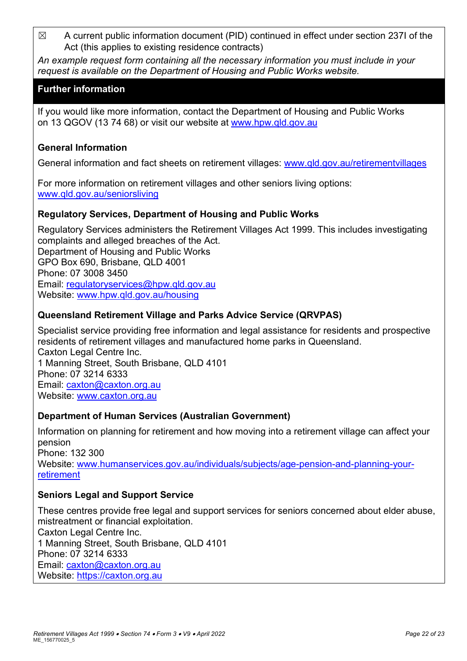$\boxtimes$  A current public information document (PID) continued in effect under section 237I of the Act (this applies to existing residence contracts)

*An example request form containing all the necessary information you must include in your request is available on the Department of Housing and Public Works website.*

## **Further information**

If you would like more information, contact the Department of Housing and Public Works on 13 QGOV (13 74 68) or visit our website at [www.hpw.qld.gov.au](http://www.hpw.qld.gov.au/)

#### **General Information**

General information and fact sheets on retirement villages: [www.qld.gov.au/retirementvillages](http://www.qld.gov.au/retirementvillages)

For more information on retirement villages and other seniors living options: [www.qld.gov.au/seniorsliving](http://www.qld.gov.au/seniorsliving)

## **Regulatory Services, Department of Housing and Public Works**

Regulatory Services administers the Retirement Villages Act 1999. This includes investigating complaints and alleged breaches of the Act. Department of Housing and Public Works GPO Box 690, Brisbane, QLD 4001 Phone: 07 3008 3450 Email: [regulatoryservices@hpw.qld.gov.au](mailto:regulatoryservices@hpw.qld.gov.au) Website: [www.hpw.qld.gov.au/housing](http://www.hpw.qld.gov.au/housing)

## **Queensland Retirement Village and Parks Advice Service (QRVPAS)**

Specialist service providing free information and legal assistance for residents and prospective residents of retirement villages and manufactured home parks in Queensland. Caxton Legal Centre Inc. 1 Manning Street, South Brisbane, QLD 4101 Phone: 07 3214 6333 Email: [caxton@caxton.org.au](mailto:caxton@caxton.org.au) Website: [www.caxton.org.au](http://www.caxton.org.au/)

#### **Department of Human Services (Australian Government)**

Information on planning for retirement and how moving into a retirement village can affect your pension Phone: 132 300 Website: [www.humanservices.gov.au/individuals/subjects/age-pension-and-planning-your](http://www.humanservices.gov.au/individuals/subjects/age-pension-and-planning-your-retirement)[retirement](http://www.humanservices.gov.au/individuals/subjects/age-pension-and-planning-your-retirement)

#### **Seniors Legal and Support Service**

These centres provide free legal and support services for seniors concerned about elder abuse, mistreatment or financial exploitation. Caxton Legal Centre Inc. 1 Manning Street, South Brisbane, QLD 4101 Phone: 07 3214 6333 Email: [caxton@caxton.org.au](mailto:caxton@caxton.org.au) Website: [https://caxton.org.au](https://caxton.org.au/)